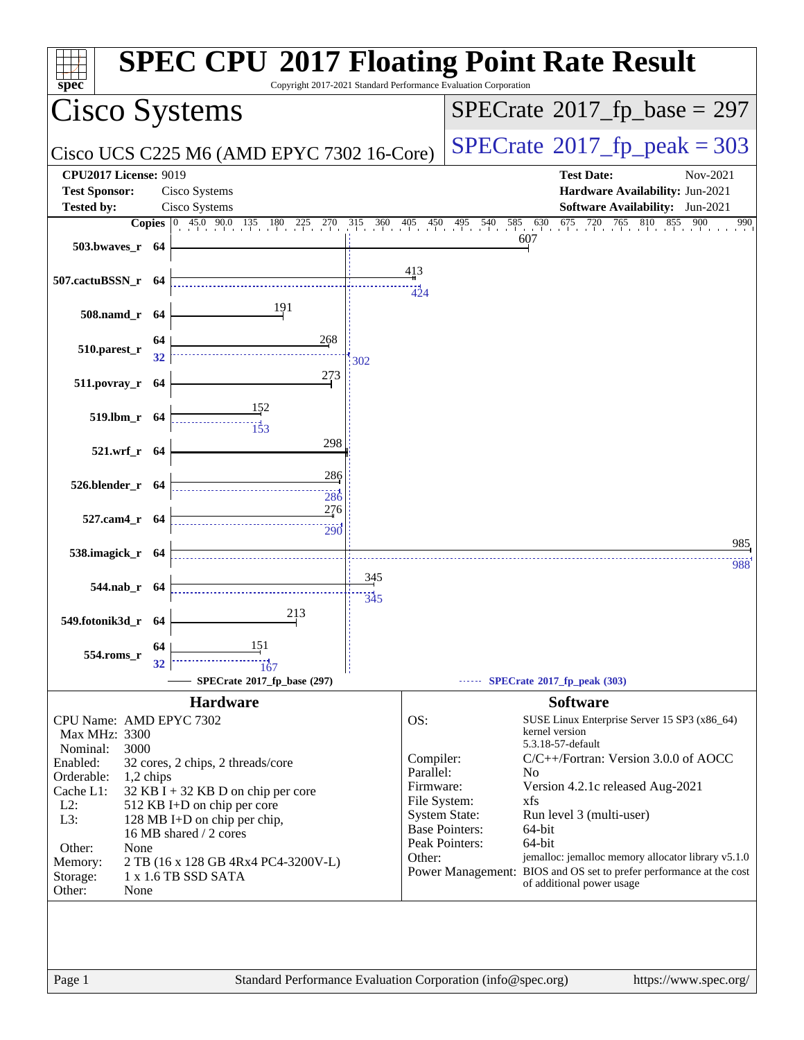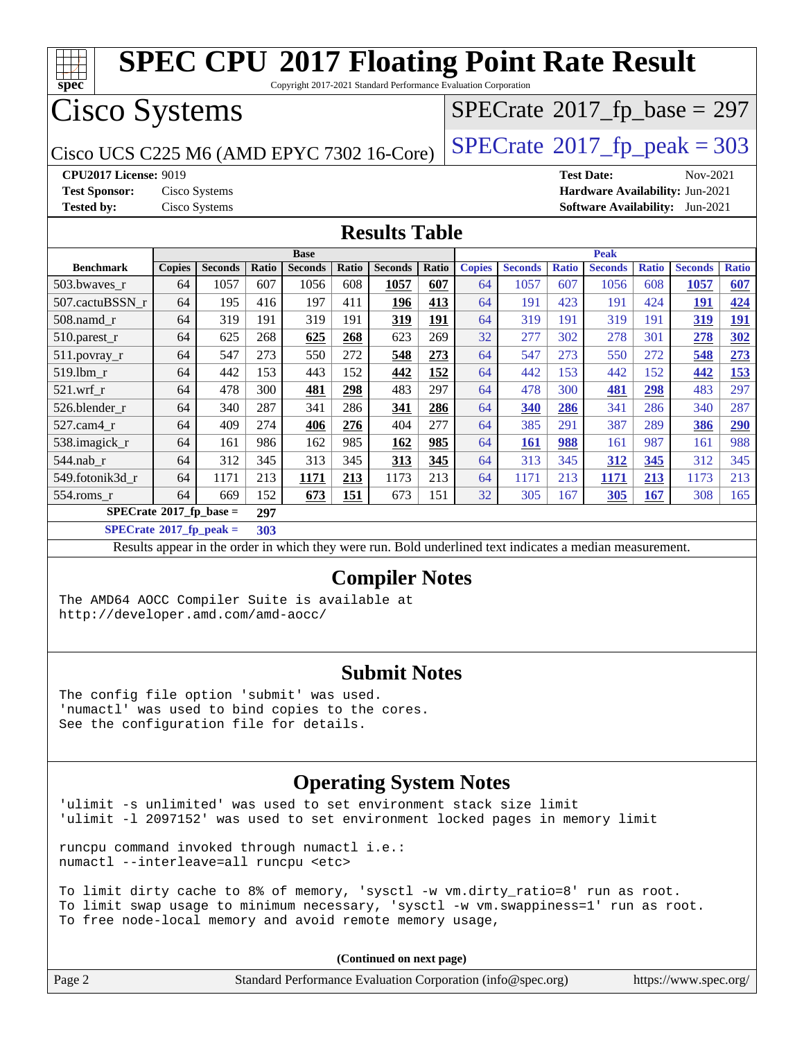

| (Continued on next page) |  |
|--------------------------|--|
|                          |  |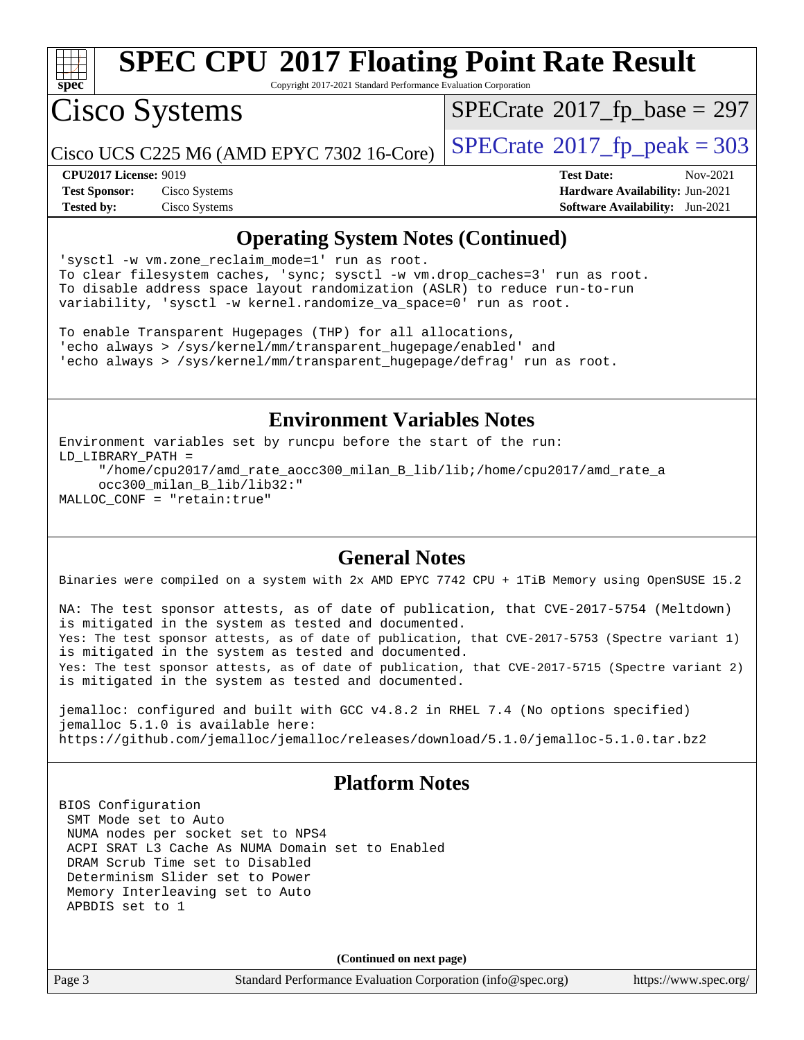

Copyright 2017-2021 Standard Performance Evaluation Corporation

Cisco Systems

 $SPECTate$ <sup>®</sup>[2017\\_fp\\_base =](http://www.spec.org/auto/cpu2017/Docs/result-fields.html#SPECrate2017fpbase) 297

Cisco UCS C225 M6 (AMD EPYC 7302 16-Core)  $\left| \text{SPECrate} \right|$  $\left| \text{SPECrate} \right|$  $\left| \text{SPECrate} \right|$   $2017$   $\left| \text{fp\_peak} \right| = 303$ 

**[Tested by:](http://www.spec.org/auto/cpu2017/Docs/result-fields.html#Testedby)** Cisco Systems **[Software Availability:](http://www.spec.org/auto/cpu2017/Docs/result-fields.html#SoftwareAvailability)** Jun-2021

**[CPU2017 License:](http://www.spec.org/auto/cpu2017/Docs/result-fields.html#CPU2017License)** 9019 **[Test Date:](http://www.spec.org/auto/cpu2017/Docs/result-fields.html#TestDate)** Nov-2021 **[Test Sponsor:](http://www.spec.org/auto/cpu2017/Docs/result-fields.html#TestSponsor)** Cisco Systems **[Hardware Availability:](http://www.spec.org/auto/cpu2017/Docs/result-fields.html#HardwareAvailability)** Jun-2021

### **[Operating System Notes \(Continued\)](http://www.spec.org/auto/cpu2017/Docs/result-fields.html#OperatingSystemNotes)**

'sysctl -w vm.zone\_reclaim\_mode=1' run as root. To clear filesystem caches, 'sync; sysctl -w vm.drop\_caches=3' run as root. To disable address space layout randomization (ASLR) to reduce run-to-run variability, 'sysctl -w kernel.randomize\_va\_space=0' run as root.

To enable Transparent Hugepages (THP) for all allocations, 'echo always > /sys/kernel/mm/transparent\_hugepage/enabled' and 'echo always > /sys/kernel/mm/transparent\_hugepage/defrag' run as root.

### **[Environment Variables Notes](http://www.spec.org/auto/cpu2017/Docs/result-fields.html#EnvironmentVariablesNotes)**

Environment variables set by runcpu before the start of the run: LD\_LIBRARY\_PATH = "/home/cpu2017/amd\_rate\_aocc300\_milan\_B\_lib/lib;/home/cpu2017/amd\_rate\_a occ300\_milan\_B\_lib/lib32:" MALLOC\_CONF = "retain:true"

### **[General Notes](http://www.spec.org/auto/cpu2017/Docs/result-fields.html#GeneralNotes)**

Binaries were compiled on a system with 2x AMD EPYC 7742 CPU + 1TiB Memory using OpenSUSE 15.2

NA: The test sponsor attests, as of date of publication, that CVE-2017-5754 (Meltdown) is mitigated in the system as tested and documented. Yes: The test sponsor attests, as of date of publication, that CVE-2017-5753 (Spectre variant 1) is mitigated in the system as tested and documented. Yes: The test sponsor attests, as of date of publication, that CVE-2017-5715 (Spectre variant 2) is mitigated in the system as tested and documented.

jemalloc: configured and built with GCC v4.8.2 in RHEL 7.4 (No options specified) jemalloc 5.1.0 is available here: <https://github.com/jemalloc/jemalloc/releases/download/5.1.0/jemalloc-5.1.0.tar.bz2>

### **[Platform Notes](http://www.spec.org/auto/cpu2017/Docs/result-fields.html#PlatformNotes)**

BIOS Configuration SMT Mode set to Auto NUMA nodes per socket set to NPS4 ACPI SRAT L3 Cache As NUMA Domain set to Enabled DRAM Scrub Time set to Disabled Determinism Slider set to Power Memory Interleaving set to Auto APBDIS set to 1

**(Continued on next page)**

Page 3 Standard Performance Evaluation Corporation [\(info@spec.org\)](mailto:info@spec.org) <https://www.spec.org/>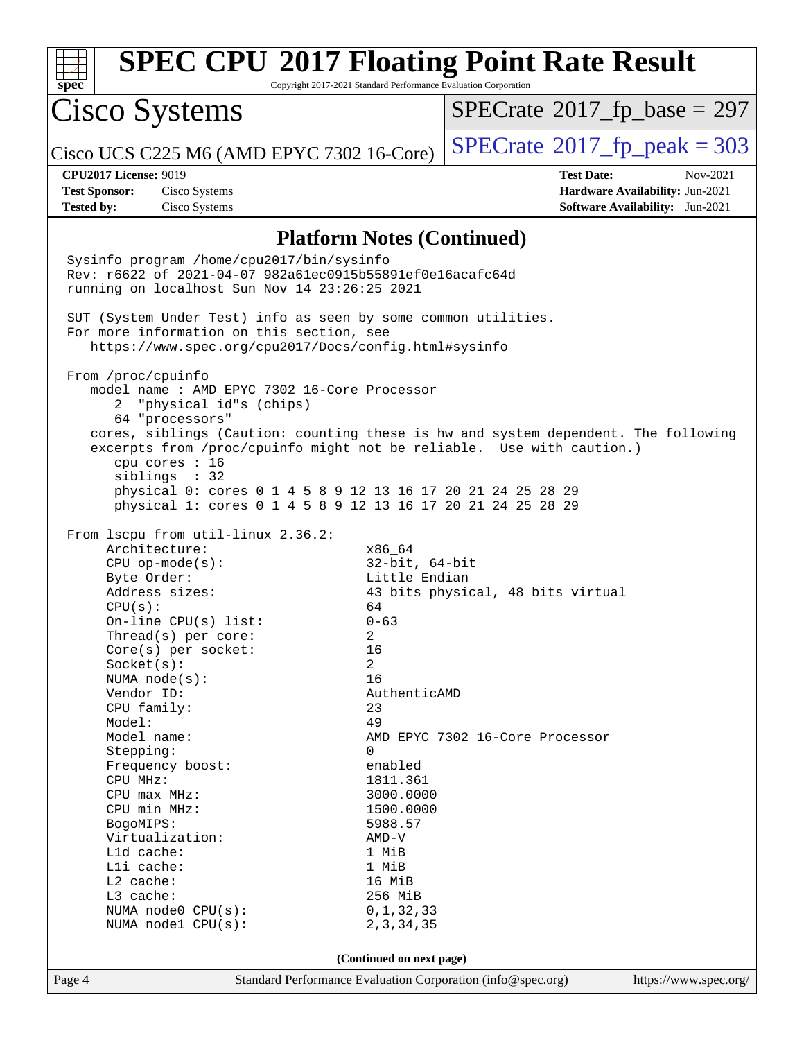

Page 4 Standard Performance Evaluation Corporation [\(info@spec.org\)](mailto:info@spec.org) <https://www.spec.org/>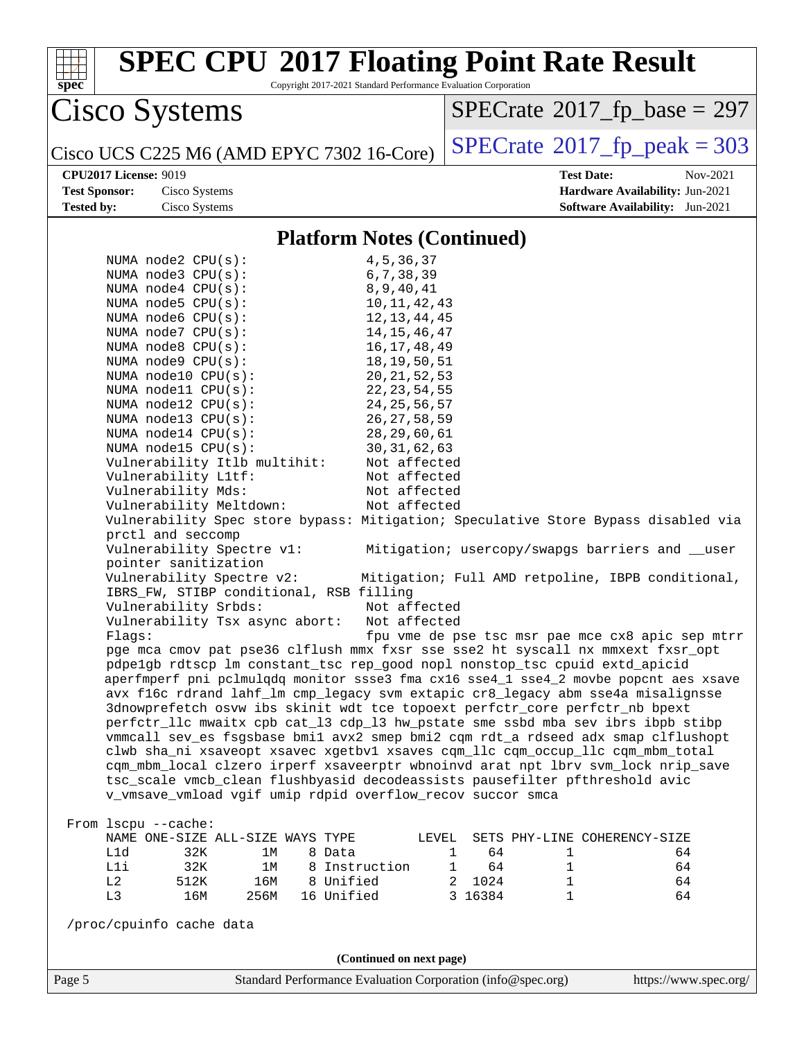| <b>SPEC CPU®2017 Floating Point Rate Result</b><br>spec®                                                                                                           | Copyright 2017-2021 Standard Performance Evaluation Corporation |                    |                              |                                                   |
|--------------------------------------------------------------------------------------------------------------------------------------------------------------------|-----------------------------------------------------------------|--------------------|------------------------------|---------------------------------------------------|
| Cisco Systems                                                                                                                                                      |                                                                 |                    |                              | $SPECrate^{\circ}2017$ [p base = 297              |
| Cisco UCS C225 M6 (AMD EPYC 7302 16-Core)                                                                                                                          |                                                                 |                    |                              | $SPECrate@2017_fp\_peak = 303$                    |
| <b>CPU2017 License: 9019</b>                                                                                                                                       |                                                                 |                    | <b>Test Date:</b>            | Nov-2021                                          |
| <b>Test Sponsor:</b><br>Cisco Systems                                                                                                                              |                                                                 |                    |                              | Hardware Availability: Jun-2021                   |
| <b>Tested by:</b><br>Cisco Systems                                                                                                                                 |                                                                 |                    |                              | <b>Software Availability:</b> Jun-2021            |
|                                                                                                                                                                    | <b>Platform Notes (Continued)</b>                               |                    |                              |                                                   |
| NUMA $node2$ $CPU(s):$                                                                                                                                             | 4, 5, 36, 37                                                    |                    |                              |                                                   |
| NUMA node3 CPU(s):                                                                                                                                                 | 6, 7, 38, 39                                                    |                    |                              |                                                   |
| NUMA $node4$ $CPU(s):$                                                                                                                                             | 8, 9, 40, 41                                                    |                    |                              |                                                   |
| NUMA $node5$ $CPU(s):$                                                                                                                                             | 10, 11, 42, 43                                                  |                    |                              |                                                   |
| NUMA node6 CPU(s):                                                                                                                                                 | 12, 13, 44, 45                                                  |                    |                              |                                                   |
| NUMA node7 CPU(s):                                                                                                                                                 | 14, 15, 46, 47                                                  |                    |                              |                                                   |
| NUMA node8 CPU(s):                                                                                                                                                 | 16, 17, 48, 49                                                  |                    |                              |                                                   |
| NUMA node9 CPU(s):                                                                                                                                                 | 18, 19, 50, 51                                                  |                    |                              |                                                   |
| NUMA node10 CPU(s):                                                                                                                                                | 20, 21, 52, 53                                                  |                    |                              |                                                   |
| NUMA node11 CPU(s):                                                                                                                                                | 22, 23, 54, 55                                                  |                    |                              |                                                   |
| NUMA node12 CPU(s):                                                                                                                                                | 24, 25, 56, 57                                                  |                    |                              |                                                   |
| NUMA $node13$ CPU $(s)$ :                                                                                                                                          | 26, 27, 58, 59                                                  |                    |                              |                                                   |
| NUMA node14 CPU(s):                                                                                                                                                | 28, 29, 60, 61                                                  |                    |                              |                                                   |
| NUMA $node15$ CPU $(s)$ :                                                                                                                                          | 30, 31, 62, 63                                                  |                    |                              |                                                   |
| Vulnerability Itlb multihit:                                                                                                                                       | Not affected                                                    |                    |                              |                                                   |
| Vulnerability L1tf:                                                                                                                                                | Not affected<br>Not affected                                    |                    |                              |                                                   |
| Vulnerability Mds:                                                                                                                                                 |                                                                 |                    |                              |                                                   |
| Vulnerability Meltdown:<br>Vulnerability Spec store bypass: Mitigation; Speculative Store Bypass disabled via                                                      | Not affected                                                    |                    |                              |                                                   |
| prctl and seccomp                                                                                                                                                  |                                                                 |                    |                              |                                                   |
| Vulnerability Spectre v1:<br>pointer sanitization                                                                                                                  |                                                                 |                    |                              | Mitigation; usercopy/swapgs barriers and __user   |
| Vulnerability Spectre v2:<br>IBRS_FW, STIBP conditional, RSB filling                                                                                               |                                                                 |                    |                              | Mitigation; Full AMD retpoline, IBPB conditional, |
| Vulnerability Srbds:                                                                                                                                               | Not affected                                                    |                    |                              |                                                   |
| Vulnerability Tsx async abort:                                                                                                                                     | Not affected                                                    |                    |                              |                                                   |
| Flaqs:                                                                                                                                                             |                                                                 |                    |                              | fpu vme de pse tsc msr pae mce cx8 apic sep mtrr  |
| pge mca cmov pat pse36 clflush mmx fxsr sse sse2 ht syscall nx mmxext fxsr_opt                                                                                     |                                                                 |                    |                              |                                                   |
| pdpelgb rdtscp lm constant_tsc rep_good nopl nonstop_tsc cpuid extd_apicid                                                                                         |                                                                 |                    |                              |                                                   |
| aperfmperf pni pclmulqdq monitor ssse3 fma cx16 sse4_1 sse4_2 movbe popcnt aes xsave                                                                               |                                                                 |                    |                              |                                                   |
| avx f16c rdrand lahf_lm cmp_legacy svm extapic cr8_legacy abm sse4a misalignsse<br>3dnowprefetch osvw ibs skinit wdt tce topoext perfctr_core perfctr_nb bpext     |                                                                 |                    |                              |                                                   |
|                                                                                                                                                                    |                                                                 |                    |                              |                                                   |
| perfctr_llc mwaitx cpb cat_13 cdp_13 hw_pstate sme ssbd mba sev ibrs ibpb stibp                                                                                    |                                                                 |                    |                              |                                                   |
| vmmcall sev_es fsgsbase bmil avx2 smep bmi2 cqm rdt_a rdseed adx smap clflushopt<br>clwb sha_ni xsaveopt xsavec xgetbvl xsaves cqm_llc cqm_occup_llc cqm_mbm_total |                                                                 |                    |                              |                                                   |
| cqm_mbm_local clzero irperf xsaveerptr wbnoinvd arat npt lbrv svm_lock nrip_save                                                                                   |                                                                 |                    |                              |                                                   |
| tsc_scale vmcb_clean flushbyasid decodeassists pausefilter pfthreshold avic                                                                                        |                                                                 |                    |                              |                                                   |
| v_vmsave_vmload vgif umip rdpid overflow_recov succor smca                                                                                                         |                                                                 |                    |                              |                                                   |
|                                                                                                                                                                    |                                                                 |                    |                              |                                                   |
| From lscpu --cache:                                                                                                                                                |                                                                 |                    |                              |                                                   |
| NAME ONE-SIZE ALL-SIZE WAYS TYPE                                                                                                                                   |                                                                 | LEVEL              | SETS PHY-LINE COHERENCY-SIZE |                                                   |
| L1d<br>32K<br>8 Data<br>1M                                                                                                                                         |                                                                 | 64<br>1            | $\mathbf{1}$                 | 64                                                |
| L1i<br>32K<br>1M                                                                                                                                                   | 8 Instruction                                                   | $\mathbf{1}$<br>64 | $\mathbf{1}$                 | 64                                                |
| L2<br>512K<br>16M<br>8 Unified                                                                                                                                     |                                                                 | 2 1024             | $\mathbf{1}$                 | 64                                                |
| L3<br>256M<br>16 Unified<br>16M                                                                                                                                    |                                                                 | 3 16384            | 1                            | 64                                                |
| /proc/cpuinfo cache data                                                                                                                                           |                                                                 |                    |                              |                                                   |
|                                                                                                                                                                    | (Continued on next page)                                        |                    |                              |                                                   |
| Page 5<br>Standard Performance Evaluation Corporation (info@spec.org)                                                                                              |                                                                 |                    |                              | https://www.spec.org/                             |
|                                                                                                                                                                    |                                                                 |                    |                              |                                                   |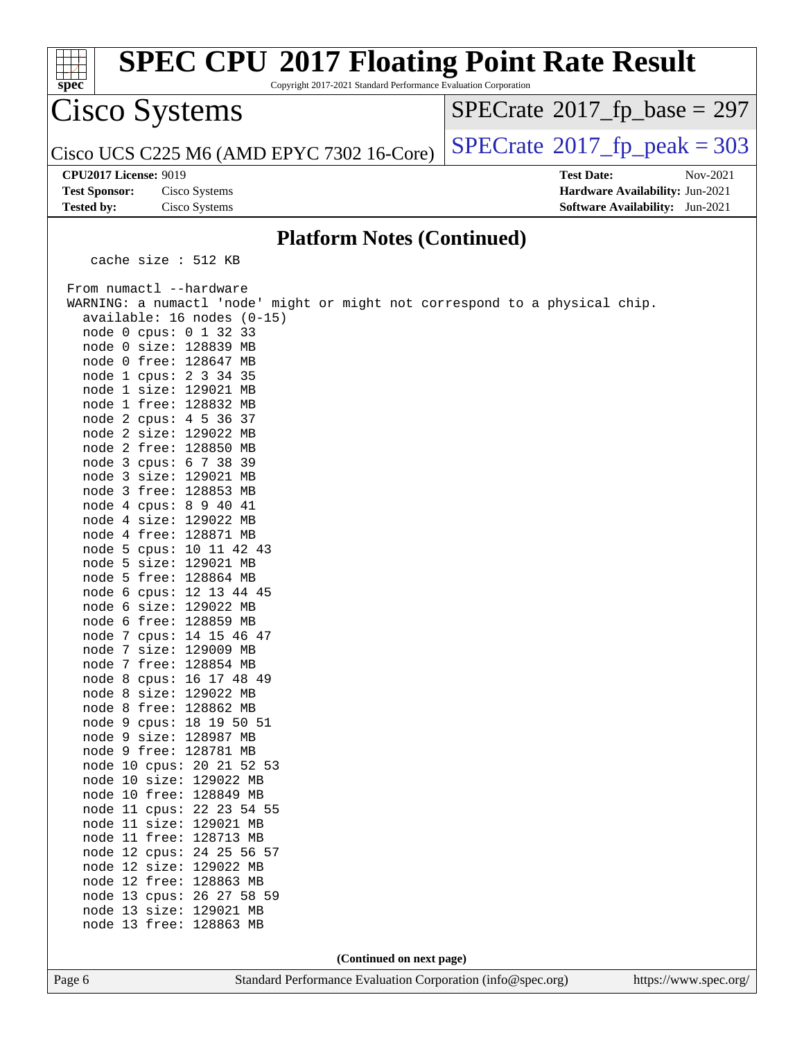| <b>SPEC CPU®2017 Floating Point Rate Result</b><br>Copyright 2017-2021 Standard Performance Evaluation Corporation<br>spec®                                                                                                                                                                                                                                                                                                                                                                                                                                                                                                                                                                                                                                                                                                                                                                                                                                                                                                                                                                                                                                                                                                                                                                            |                                                                                                            |
|--------------------------------------------------------------------------------------------------------------------------------------------------------------------------------------------------------------------------------------------------------------------------------------------------------------------------------------------------------------------------------------------------------------------------------------------------------------------------------------------------------------------------------------------------------------------------------------------------------------------------------------------------------------------------------------------------------------------------------------------------------------------------------------------------------------------------------------------------------------------------------------------------------------------------------------------------------------------------------------------------------------------------------------------------------------------------------------------------------------------------------------------------------------------------------------------------------------------------------------------------------------------------------------------------------|------------------------------------------------------------------------------------------------------------|
| Cisco Systems                                                                                                                                                                                                                                                                                                                                                                                                                                                                                                                                                                                                                                                                                                                                                                                                                                                                                                                                                                                                                                                                                                                                                                                                                                                                                          | $SPECrate^{\circ}2017$ _fp_base = 297                                                                      |
| Cisco UCS C225 M6 (AMD EPYC 7302 16-Core)                                                                                                                                                                                                                                                                                                                                                                                                                                                                                                                                                                                                                                                                                                                                                                                                                                                                                                                                                                                                                                                                                                                                                                                                                                                              | $SPECTate^{\circ}2017$ _fp_peak = 303                                                                      |
| <b>CPU2017 License: 9019</b><br><b>Test Sponsor:</b><br>Cisco Systems<br><b>Tested by:</b><br>Cisco Systems                                                                                                                                                                                                                                                                                                                                                                                                                                                                                                                                                                                                                                                                                                                                                                                                                                                                                                                                                                                                                                                                                                                                                                                            | <b>Test Date:</b><br>Nov-2021<br>Hardware Availability: Jun-2021<br><b>Software Availability:</b> Jun-2021 |
| <b>Platform Notes (Continued)</b>                                                                                                                                                                                                                                                                                                                                                                                                                                                                                                                                                                                                                                                                                                                                                                                                                                                                                                                                                                                                                                                                                                                                                                                                                                                                      |                                                                                                            |
| cache size $: 512$ KB                                                                                                                                                                                                                                                                                                                                                                                                                                                                                                                                                                                                                                                                                                                                                                                                                                                                                                                                                                                                                                                                                                                                                                                                                                                                                  |                                                                                                            |
| From numactl --hardware<br>WARNING: a numactl 'node' might or might not correspond to a physical chip.<br>available: 16 nodes (0-15)<br>node 0 cpus: 0 1 32 33<br>node 0 size: 128839 MB<br>node 0 free: 128647 MB<br>node 1 cpus: 2 3 34 35<br>node 1 size: 129021 MB<br>node 1 free: 128832 MB<br>node 2 cpus: 4 5 36 37<br>node 2 size: 129022 MB<br>node 2 free: 128850 MB<br>node 3 cpus: 6 7 38 39<br>node 3 size: 129021 MB<br>node 3 free: 128853 MB<br>node 4 cpus: 8 9 40 41<br>node 4 size: 129022 MB<br>node 4 free: 128871 MB<br>node 5 cpus: 10 11 42 43<br>node 5 size: 129021 MB<br>node 5 free: 128864 MB<br>node 6 cpus: 12 13 44 45<br>node 6 size: 129022 MB<br>node 6 free: 128859 MB<br>node 7 cpus: 14 15 46 47<br>node 7 size: 129009 MB<br>node 7 free: 128854 MB<br>node 8 cpus: 16 17 48 49<br>node 8 size: 129022 MB<br>node 8 free: 128862 MB<br>node 9 cpus: 18 19 50 51<br>node 9 size: 128987 MB<br>node 9 free: 128781 MB<br>node 10 cpus: 20 21 52 53<br>node 10 size: 129022 MB<br>node 10 free: 128849 MB<br>node 11 cpus: 22 23 54 55<br>node 11 size: 129021 MB<br>node 11 free: 128713 MB<br>node 12 cpus: 24 25 56 57<br>node 12 size: 129022 MB<br>node 12 free: 128863 MB<br>node 13 cpus: 26 27 58 59<br>node 13 size: 129021 MB<br>node 13 free: 128863 MB |                                                                                                            |
| (Continued on next page)                                                                                                                                                                                                                                                                                                                                                                                                                                                                                                                                                                                                                                                                                                                                                                                                                                                                                                                                                                                                                                                                                                                                                                                                                                                                               |                                                                                                            |
| Page 6<br>Standard Performance Evaluation Corporation (info@spec.org)                                                                                                                                                                                                                                                                                                                                                                                                                                                                                                                                                                                                                                                                                                                                                                                                                                                                                                                                                                                                                                                                                                                                                                                                                                  | https://www.spec.org/                                                                                      |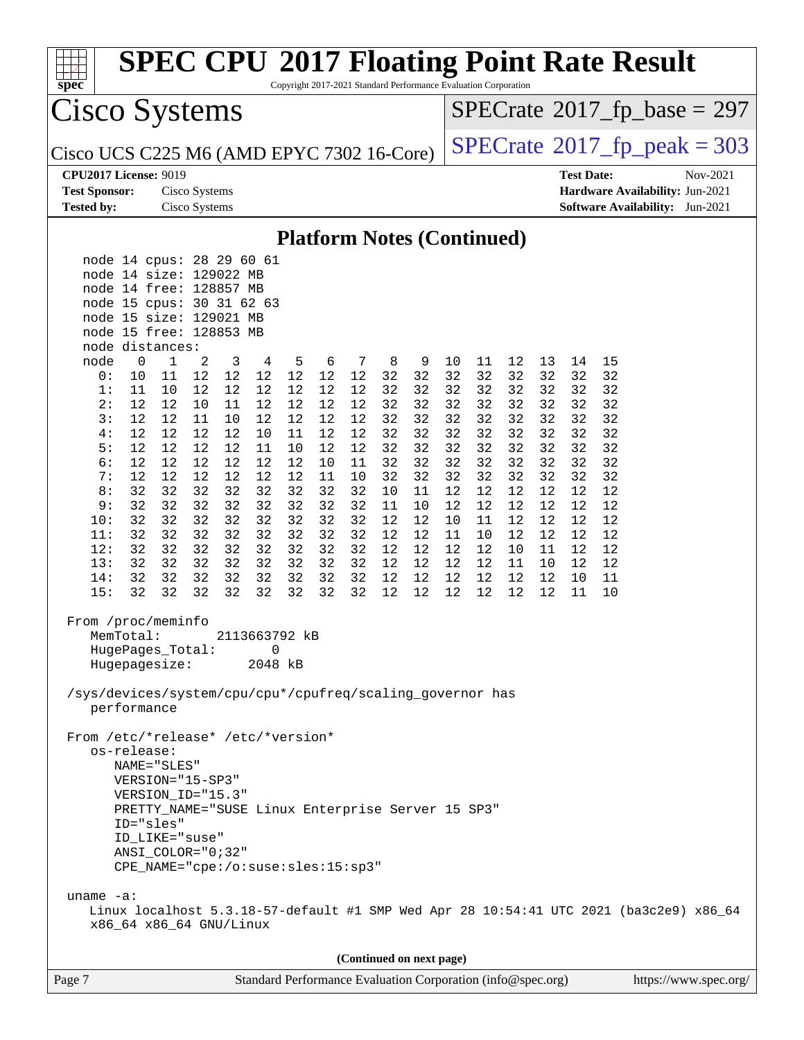

Copyright 2017-2021 Standard Performance Evaluation Corporation

Cisco Systems

 $SPECTate$ <sup>®</sup>[2017\\_fp\\_base =](http://www.spec.org/auto/cpu2017/Docs/result-fields.html#SPECrate2017fpbase) 297

Cisco UCS C225 M6 (AMD EPYC 7302 16-Core)  $\left|$  [SPECrate](http://www.spec.org/auto/cpu2017/Docs/result-fields.html#SPECrate2017fppeak)®[2017\\_fp\\_peak = 3](http://www.spec.org/auto/cpu2017/Docs/result-fields.html#SPECrate2017fppeak)03

### **[CPU2017 License:](http://www.spec.org/auto/cpu2017/Docs/result-fields.html#CPU2017License)** 9019

| <b>Test Sponsor:</b> | Cisco Systems |
|----------------------|---------------|
| <b>Tested by:</b>    | Cisco Systems |

| <b>CPU2017 License: 9019</b> |               | <b>Test Date:</b>                      | Nov-2021 |
|------------------------------|---------------|----------------------------------------|----------|
| <b>Test Sponsor:</b>         | Cisco Systems | <b>Hardware Availability: Jun-2021</b> |          |
| <b>Tested by:</b>            | Cisco Systems | <b>Software Availability:</b> Jun-2021 |          |

### **[Platform Notes \(Continued\)](http://www.spec.org/auto/cpu2017/Docs/result-fields.html#PlatformNotes)**

| node 14 cpus: 28 29 60 61<br>node 14 size: 129022 MB<br>node 14 free: 128857 MB<br>node 15 cpus: 30 31 62 63<br>node 15 size: 129021 MB<br>node 15 free: 128853 MB<br>node distances:                                                                                                                                                                                                                      |  |  |  |  |
|------------------------------------------------------------------------------------------------------------------------------------------------------------------------------------------------------------------------------------------------------------------------------------------------------------------------------------------------------------------------------------------------------------|--|--|--|--|
| $\mathbf 0$<br>$\mathbf{1}$<br>2<br>3<br>10<br>node<br>4<br>5<br>6<br>7<br>8<br>9<br>11<br>12<br>13<br>14<br>15                                                                                                                                                                                                                                                                                            |  |  |  |  |
| 12<br>12<br>12<br>12<br>12<br>32<br>32<br>32<br>32<br>32<br>32<br>0:<br>10<br>11<br>12<br>32<br>32                                                                                                                                                                                                                                                                                                         |  |  |  |  |
| 12<br>12<br>12<br>12<br>12<br>32<br>32<br>32<br>32<br>1:<br>11<br>10<br>12<br>32<br>32<br>32<br>32                                                                                                                                                                                                                                                                                                         |  |  |  |  |
| 2:<br>12<br>12<br>12<br>12<br>12<br>32<br>32<br>32<br>32<br>32<br>32<br>32<br>32<br>10<br>11<br>12                                                                                                                                                                                                                                                                                                         |  |  |  |  |
| 3:<br>12<br>12<br>11<br>10<br>12<br>12<br>12<br>12<br>32<br>32<br>32<br>32<br>32<br>32<br>32<br>32                                                                                                                                                                                                                                                                                                         |  |  |  |  |
| 4:<br>12<br>12<br>12<br>12<br>10<br>12<br>12<br>32<br>32<br>32<br>32<br>32<br>32<br>32<br>32<br>11                                                                                                                                                                                                                                                                                                         |  |  |  |  |
| 5:<br>12<br>12<br>12<br>12<br>32<br>32<br>32<br>32<br>32<br>32<br>12<br>11<br>10<br>12<br>32<br>32                                                                                                                                                                                                                                                                                                         |  |  |  |  |
| 6:<br>12<br>12<br>12<br>12<br>11<br>32<br>32<br>32<br>32<br>32<br>32<br>32<br>12<br>12<br>10<br>32                                                                                                                                                                                                                                                                                                         |  |  |  |  |
| 7:<br>12<br>12<br>32<br>32<br>32<br>32<br>32<br>32<br>32<br>12<br>12<br>12<br>12<br>10<br>32<br>11                                                                                                                                                                                                                                                                                                         |  |  |  |  |
| 32<br>32<br>32<br>32<br>32<br>32<br>32<br>32<br>12<br>12<br>12<br>12<br>12<br>12<br>8:<br>10<br>11                                                                                                                                                                                                                                                                                                         |  |  |  |  |
| 12<br>32<br>32<br>32<br>32<br>32<br>32<br>32<br>32<br>11<br>12<br>12<br>12<br>12<br>12<br>9:<br>10                                                                                                                                                                                                                                                                                                         |  |  |  |  |
| 10:<br>32<br>32<br>32<br>32<br>32<br>32<br>32<br>32<br>12<br>12<br>10<br>12<br>12<br>12<br>12<br>11                                                                                                                                                                                                                                                                                                        |  |  |  |  |
| 32<br>32<br>32<br>32<br>32<br>32<br>32<br>12<br>12<br>12<br>12<br>12<br>12<br>11:<br>32<br>11<br>10                                                                                                                                                                                                                                                                                                        |  |  |  |  |
| 12:<br>32<br>32<br>32<br>32<br>32<br>32<br>32<br>32<br>12<br>12<br>12<br>12<br>12<br>12<br>10<br>11<br>32<br>32<br>32<br>32<br>32<br>32<br>32<br>12<br>12<br>12<br>13:<br>32<br>12<br>12<br>12<br>11<br>10                                                                                                                                                                                                 |  |  |  |  |
| 32<br>32<br>32<br>32<br>32<br>32<br>32<br>32<br>12<br>12<br>12<br>12<br>12<br>12<br>14:<br>10<br>11                                                                                                                                                                                                                                                                                                        |  |  |  |  |
| 15:<br>32<br>32<br>32<br>32<br>32<br>32<br>32<br>32<br>12<br>12<br>12<br>12<br>12<br>12<br>11<br>10                                                                                                                                                                                                                                                                                                        |  |  |  |  |
| From /proc/meminfo<br>MemTotal:<br>2113663792 kB<br>HugePages_Total:<br>0<br>Hugepagesize:<br>2048 kB<br>/sys/devices/system/cpu/cpu*/cpufreq/scaling_governor has<br>performance<br>From /etc/*release* /etc/*version*<br>os-release:<br>NAME="SLES"<br>VERSION="15-SP3"<br>VERSION_ID="15.3"<br>PRETTY_NAME="SUSE Linux Enterprise Server 15 SP3"<br>ID="sles"<br>ID_LIKE="suse"<br>$ANSI$ _COLOR="0;32" |  |  |  |  |
| CPE_NAME="cpe:/o:suse:sles:15:sp3"                                                                                                                                                                                                                                                                                                                                                                         |  |  |  |  |
| uname $-a$ :<br>Linux localhost 5.3.18-57-default #1 SMP Wed Apr 28 10:54:41 UTC 2021 (ba3c2e9) x86_64<br>x86_64 x86_64 GNU/Linux                                                                                                                                                                                                                                                                          |  |  |  |  |
| (Continued on next page)                                                                                                                                                                                                                                                                                                                                                                                   |  |  |  |  |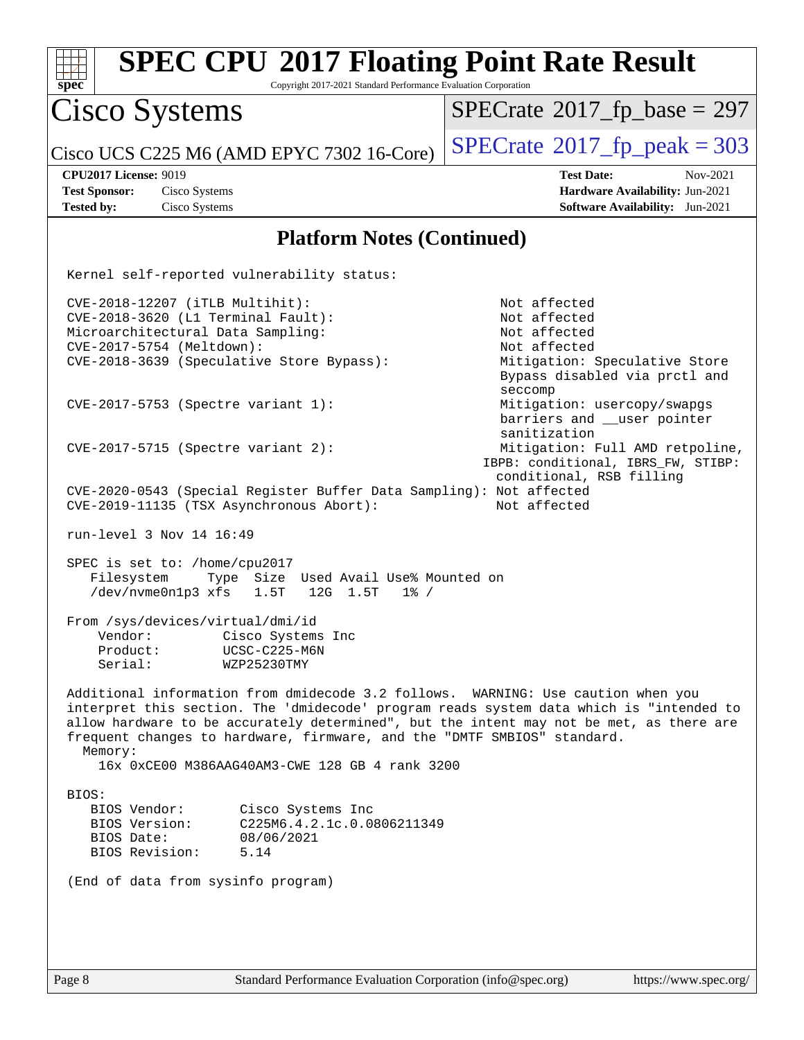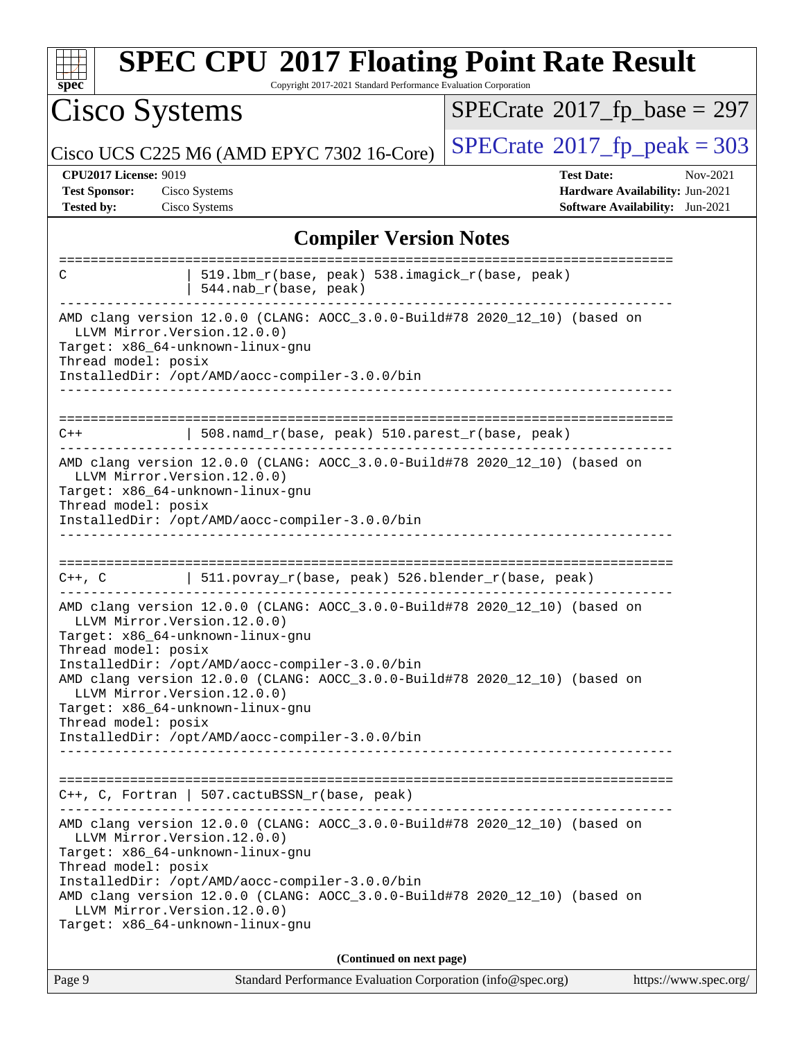| <b>SPEC CPU®2017 Floating Point Rate Result</b><br>Copyright 2017-2021 Standard Performance Evaluation Corporation<br>$\mathbf{Spec}^*$                                                                                                                                                                                                                                                                                                            |                                                                                                     |  |  |
|----------------------------------------------------------------------------------------------------------------------------------------------------------------------------------------------------------------------------------------------------------------------------------------------------------------------------------------------------------------------------------------------------------------------------------------------------|-----------------------------------------------------------------------------------------------------|--|--|
| Cisco Systems                                                                                                                                                                                                                                                                                                                                                                                                                                      | $SPECrate^{\circ}2017$ fp base = 297                                                                |  |  |
| Cisco UCS C225 M6 (AMD EPYC 7302 16-Core)                                                                                                                                                                                                                                                                                                                                                                                                          | $SPECrate@2017_fp\_peak = 303$                                                                      |  |  |
| <b>CPU2017 License: 9019</b><br><b>Test Sponsor:</b><br>Cisco Systems<br><b>Tested by:</b><br>Cisco Systems                                                                                                                                                                                                                                                                                                                                        | <b>Test Date:</b><br>Nov-2021<br>Hardware Availability: Jun-2021<br>Software Availability: Jun-2021 |  |  |
| <b>Compiler Version Notes</b>                                                                                                                                                                                                                                                                                                                                                                                                                      |                                                                                                     |  |  |
| 519.1bm_r(base, peak) 538.imagick_r(base, peak)<br>C<br>544.nab_r(base, peak)                                                                                                                                                                                                                                                                                                                                                                      |                                                                                                     |  |  |
| AMD clang version 12.0.0 (CLANG: AOCC_3.0.0-Build#78 2020_12_10) (based on<br>LLVM Mirror. Version. 12.0.0)<br>Target: x86_64-unknown-linux-gnu<br>Thread model: posix<br>InstalledDir: /opt/AMD/aocc-compiler-3.0.0/bin                                                                                                                                                                                                                           |                                                                                                     |  |  |
| 508.namd_r(base, peak) 510.parest_r(base, peak)<br>$C++$                                                                                                                                                                                                                                                                                                                                                                                           |                                                                                                     |  |  |
| AMD clang version 12.0.0 (CLANG: AOCC_3.0.0-Build#78 2020_12_10) (based on<br>LLVM Mirror. Version. 12.0.0)<br>Target: x86_64-unknown-linux-gnu<br>Thread model: posix<br>InstalledDir: /opt/AMD/aocc-compiler-3.0.0/bin                                                                                                                                                                                                                           |                                                                                                     |  |  |
| 511.povray_r(base, peak) 526.blender_r(base, peak)<br>$C++$ , $C$                                                                                                                                                                                                                                                                                                                                                                                  |                                                                                                     |  |  |
| AMD clang version 12.0.0 (CLANG: AOCC_3.0.0-Build#78 2020_12_10) (based on<br>LLVM Mirror.Version.12.0.0)<br>Target: x86_64-unknown-linux-gnu<br>Thread model: posix<br>InstalledDir: /opt/AMD/aocc-compiler-3.0.0/bin<br>AMD clang version 12.0.0 (CLANG: AOCC_3.0.0-Build#78 2020_12_10) (based on<br>LLVM Mirror. Version. 12.0.0)<br>Target: x86_64-unknown-linux-gnu<br>Thread model: posix<br>InstalledDir: /opt/AMD/aocc-compiler-3.0.0/bin |                                                                                                     |  |  |
| $C++$ , C, Fortran   507. cactuBSSN_r(base, peak)                                                                                                                                                                                                                                                                                                                                                                                                  |                                                                                                     |  |  |
| AMD clang version 12.0.0 (CLANG: AOCC_3.0.0-Build#78 2020_12_10) (based on<br>LLVM Mirror. Version. 12.0.0)<br>Target: x86_64-unknown-linux-gnu<br>Thread model: posix<br>InstalledDir: /opt/AMD/aocc-compiler-3.0.0/bin<br>AMD clang version 12.0.0 (CLANG: AOCC_3.0.0-Build#78 2020_12_10) (based on<br>LLVM Mirror. Version. 12.0.0)<br>Target: x86_64-unknown-linux-gnu                                                                        |                                                                                                     |  |  |
| (Continued on next page)                                                                                                                                                                                                                                                                                                                                                                                                                           |                                                                                                     |  |  |
| Page 9<br>Standard Performance Evaluation Corporation (info@spec.org)                                                                                                                                                                                                                                                                                                                                                                              | https://www.spec.org/                                                                               |  |  |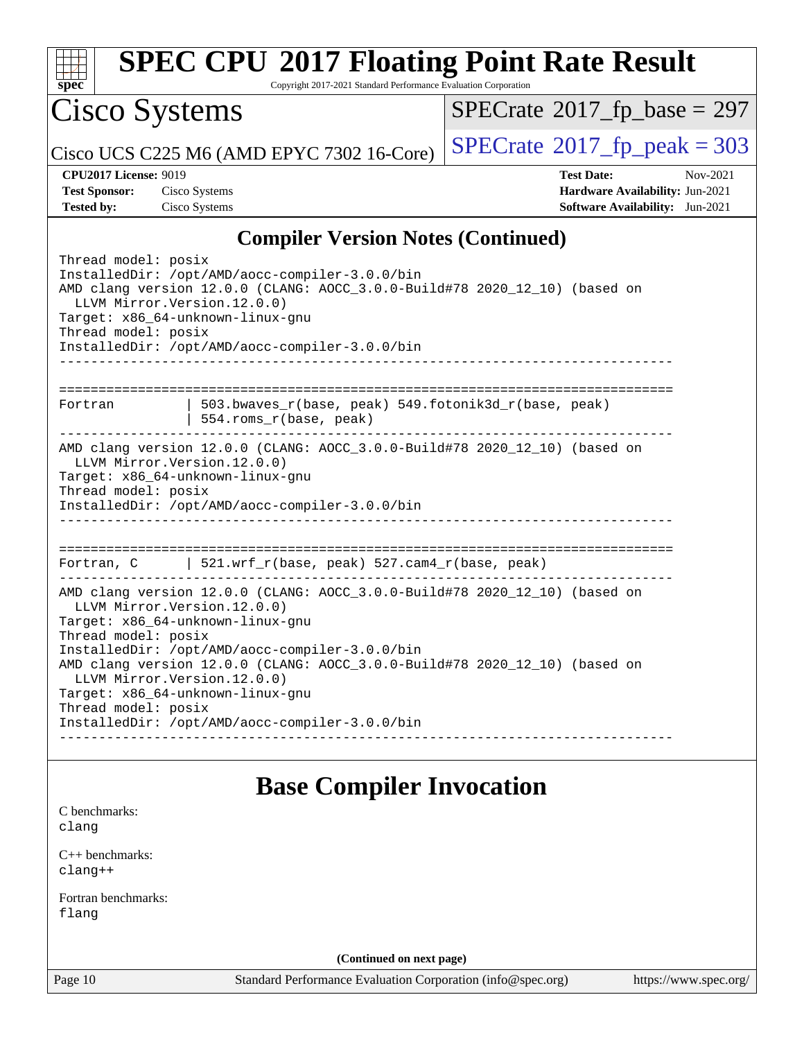

Copyright 2017-2021 Standard Performance Evaluation Corporation

Cisco Systems

 $SPECrate$ <sup>®</sup>[2017\\_fp\\_base =](http://www.spec.org/auto/cpu2017/Docs/result-fields.html#SPECrate2017fpbase) 297

Cisco UCS C225 M6 (AMD EPYC 7302 16-Core)  $\left| \text{SPECrate} \right|^{2}$  $\left| \text{SPECrate} \right|^{2}$  $\left| \text{SPECrate} \right|^{2}$  [2017\\_fp\\_peak = 3](http://www.spec.org/auto/cpu2017/Docs/result-fields.html#SPECrate2017fppeak)03

**[CPU2017 License:](http://www.spec.org/auto/cpu2017/Docs/result-fields.html#CPU2017License)** 9019 **[Test Date:](http://www.spec.org/auto/cpu2017/Docs/result-fields.html#TestDate)** Nov-2021 **[Test Sponsor:](http://www.spec.org/auto/cpu2017/Docs/result-fields.html#TestSponsor)** Cisco Systems **[Hardware Availability:](http://www.spec.org/auto/cpu2017/Docs/result-fields.html#HardwareAvailability)** Jun-2021 **[Tested by:](http://www.spec.org/auto/cpu2017/Docs/result-fields.html#Testedby)** Cisco Systems **[Software Availability:](http://www.spec.org/auto/cpu2017/Docs/result-fields.html#SoftwareAvailability)** Jun-2021

### **[Compiler Version Notes \(Continued\)](http://www.spec.org/auto/cpu2017/Docs/result-fields.html#CompilerVersionNotes)**

| Thread model: posix<br>InstalledDir: /opt/AMD/aocc-compiler-3.0.0/bin<br>AMD clang version 12.0.0 (CLANG: AOCC_3.0.0-Build#78 2020_12_10) (based on<br>LLVM Mirror. Version. 12.0.0)<br>Target: x86_64-unknown-linux-gnu<br>Thread model: posix<br>InstalledDir: /opt/AMD/aocc-compiler-3.0.0/bin |  |  |  |
|---------------------------------------------------------------------------------------------------------------------------------------------------------------------------------------------------------------------------------------------------------------------------------------------------|--|--|--|
| 503.bwayes r(base, peak) 549.fotonik3d r(base, peak)<br>Fortran<br>554.roms_r(base, peak)                                                                                                                                                                                                         |  |  |  |
| AMD clang version 12.0.0 (CLANG: AOCC_3.0.0-Build#78 2020_12_10) (based on<br>LLVM Mirror. Version. 12.0.0)<br>Target: x86_64-unknown-linux-gnu<br>Thread model: posix<br>InstalledDir: /opt/AMD/aocc-compiler-3.0.0/bin                                                                          |  |  |  |
| Fortran, C   521.wrf_r(base, peak) 527.cam4_r(base, peak)                                                                                                                                                                                                                                         |  |  |  |
| AMD clang version 12.0.0 (CLANG: AOCC_3.0.0-Build#78 2020_12_10) (based on<br>LLVM Mirror. Version. 12.0.0)<br>Target: x86_64-unknown-linux-gnu<br>Thread model: posix<br>InstalledDir: /opt/AMD/aocc-compiler-3.0.0/bin                                                                          |  |  |  |
| AMD clang version 12.0.0 (CLANG: AOCC_3.0.0-Build#78 2020_12_10) (based on<br>LLVM Mirror. Version. 12.0.0)<br>Target: x86_64-unknown-linux-gnu<br>Thread model: posix<br>InstalledDir: /opt/AMD/aocc-compiler-3.0.0/bin                                                                          |  |  |  |

### **[Base Compiler Invocation](http://www.spec.org/auto/cpu2017/Docs/result-fields.html#BaseCompilerInvocation)**

[C benchmarks](http://www.spec.org/auto/cpu2017/Docs/result-fields.html#Cbenchmarks): [clang](http://www.spec.org/cpu2017/results/res2021q4/cpu2017-20211207-30388.flags.html#user_CCbase_clang-c)

[C++ benchmarks:](http://www.spec.org/auto/cpu2017/Docs/result-fields.html#CXXbenchmarks) [clang++](http://www.spec.org/cpu2017/results/res2021q4/cpu2017-20211207-30388.flags.html#user_CXXbase_clang-cpp)

[Fortran benchmarks](http://www.spec.org/auto/cpu2017/Docs/result-fields.html#Fortranbenchmarks): [flang](http://www.spec.org/cpu2017/results/res2021q4/cpu2017-20211207-30388.flags.html#user_FCbase_flang)

**(Continued on next page)**

Page 10 Standard Performance Evaluation Corporation [\(info@spec.org\)](mailto:info@spec.org) <https://www.spec.org/>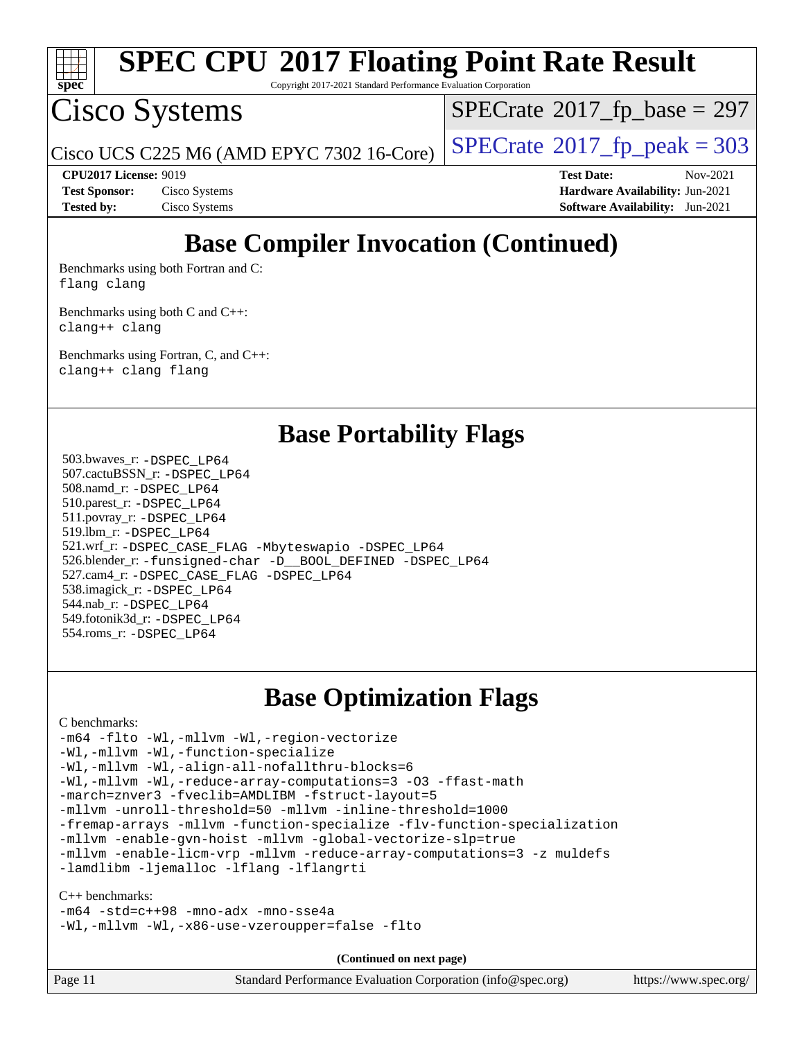

Copyright 2017-2021 Standard Performance Evaluation Corporation

## Cisco Systems

 $SPECTate$ <sup>®</sup>[2017\\_fp\\_base =](http://www.spec.org/auto/cpu2017/Docs/result-fields.html#SPECrate2017fpbase) 297

Cisco UCS C225 M6 (AMD EPYC 7302 16-Core)  $\left| \text{SPECrate} \right|$  $\left| \text{SPECrate} \right|$  $\left| \text{SPECrate} \right|$   $2017$   $\left| \text{fp\_peak} \right| = 303$ 

**[CPU2017 License:](http://www.spec.org/auto/cpu2017/Docs/result-fields.html#CPU2017License)** 9019 **[Test Date:](http://www.spec.org/auto/cpu2017/Docs/result-fields.html#TestDate)** Nov-2021 **[Test Sponsor:](http://www.spec.org/auto/cpu2017/Docs/result-fields.html#TestSponsor)** Cisco Systems **[Hardware Availability:](http://www.spec.org/auto/cpu2017/Docs/result-fields.html#HardwareAvailability)** Jun-2021 **[Tested by:](http://www.spec.org/auto/cpu2017/Docs/result-fields.html#Testedby)** Cisco Systems **[Software Availability:](http://www.spec.org/auto/cpu2017/Docs/result-fields.html#SoftwareAvailability)** Jun-2021

## **[Base Compiler Invocation \(Continued\)](http://www.spec.org/auto/cpu2017/Docs/result-fields.html#BaseCompilerInvocation)**

[Benchmarks using both Fortran and C](http://www.spec.org/auto/cpu2017/Docs/result-fields.html#BenchmarksusingbothFortranandC): [flang](http://www.spec.org/cpu2017/results/res2021q4/cpu2017-20211207-30388.flags.html#user_CC_FCbase_flang) [clang](http://www.spec.org/cpu2017/results/res2021q4/cpu2017-20211207-30388.flags.html#user_CC_FCbase_clang-c)

[Benchmarks using both C and C++](http://www.spec.org/auto/cpu2017/Docs/result-fields.html#BenchmarksusingbothCandCXX): [clang++](http://www.spec.org/cpu2017/results/res2021q4/cpu2017-20211207-30388.flags.html#user_CC_CXXbase_clang-cpp) [clang](http://www.spec.org/cpu2017/results/res2021q4/cpu2017-20211207-30388.flags.html#user_CC_CXXbase_clang-c)

[Benchmarks using Fortran, C, and C++:](http://www.spec.org/auto/cpu2017/Docs/result-fields.html#BenchmarksusingFortranCandCXX) [clang++](http://www.spec.org/cpu2017/results/res2021q4/cpu2017-20211207-30388.flags.html#user_CC_CXX_FCbase_clang-cpp) [clang](http://www.spec.org/cpu2017/results/res2021q4/cpu2017-20211207-30388.flags.html#user_CC_CXX_FCbase_clang-c) [flang](http://www.spec.org/cpu2017/results/res2021q4/cpu2017-20211207-30388.flags.html#user_CC_CXX_FCbase_flang)

**[Base Portability Flags](http://www.spec.org/auto/cpu2017/Docs/result-fields.html#BasePortabilityFlags)**

 503.bwaves\_r: [-DSPEC\\_LP64](http://www.spec.org/cpu2017/results/res2021q4/cpu2017-20211207-30388.flags.html#suite_baseEXTRA_PORTABILITY503_bwaves_r_DSPEC_LP64) 507.cactuBSSN\_r: [-DSPEC\\_LP64](http://www.spec.org/cpu2017/results/res2021q4/cpu2017-20211207-30388.flags.html#suite_baseEXTRA_PORTABILITY507_cactuBSSN_r_DSPEC_LP64) 508.namd\_r: [-DSPEC\\_LP64](http://www.spec.org/cpu2017/results/res2021q4/cpu2017-20211207-30388.flags.html#suite_baseEXTRA_PORTABILITY508_namd_r_DSPEC_LP64) 510.parest\_r: [-DSPEC\\_LP64](http://www.spec.org/cpu2017/results/res2021q4/cpu2017-20211207-30388.flags.html#suite_baseEXTRA_PORTABILITY510_parest_r_DSPEC_LP64) 511.povray\_r: [-DSPEC\\_LP64](http://www.spec.org/cpu2017/results/res2021q4/cpu2017-20211207-30388.flags.html#suite_baseEXTRA_PORTABILITY511_povray_r_DSPEC_LP64) 519.lbm\_r: [-DSPEC\\_LP64](http://www.spec.org/cpu2017/results/res2021q4/cpu2017-20211207-30388.flags.html#suite_baseEXTRA_PORTABILITY519_lbm_r_DSPEC_LP64) 521.wrf\_r: [-DSPEC\\_CASE\\_FLAG](http://www.spec.org/cpu2017/results/res2021q4/cpu2017-20211207-30388.flags.html#b521.wrf_r_baseCPORTABILITY_DSPEC_CASE_FLAG) [-Mbyteswapio](http://www.spec.org/cpu2017/results/res2021q4/cpu2017-20211207-30388.flags.html#user_baseFPORTABILITY521_wrf_r_F-mbyteswapio) [-DSPEC\\_LP64](http://www.spec.org/cpu2017/results/res2021q4/cpu2017-20211207-30388.flags.html#suite_baseEXTRA_PORTABILITY521_wrf_r_DSPEC_LP64) 526.blender\_r: [-funsigned-char](http://www.spec.org/cpu2017/results/res2021q4/cpu2017-20211207-30388.flags.html#user_baseCPORTABILITY526_blender_r_aocc-unsigned-char) [-D\\_\\_BOOL\\_DEFINED](http://www.spec.org/cpu2017/results/res2021q4/cpu2017-20211207-30388.flags.html#b526.blender_r_baseCXXPORTABILITY_D__BOOL_DEFINED) [-DSPEC\\_LP64](http://www.spec.org/cpu2017/results/res2021q4/cpu2017-20211207-30388.flags.html#suite_baseEXTRA_PORTABILITY526_blender_r_DSPEC_LP64) 527.cam4\_r: [-DSPEC\\_CASE\\_FLAG](http://www.spec.org/cpu2017/results/res2021q4/cpu2017-20211207-30388.flags.html#b527.cam4_r_basePORTABILITY_DSPEC_CASE_FLAG) [-DSPEC\\_LP64](http://www.spec.org/cpu2017/results/res2021q4/cpu2017-20211207-30388.flags.html#suite_baseEXTRA_PORTABILITY527_cam4_r_DSPEC_LP64) 538.imagick\_r: [-DSPEC\\_LP64](http://www.spec.org/cpu2017/results/res2021q4/cpu2017-20211207-30388.flags.html#suite_baseEXTRA_PORTABILITY538_imagick_r_DSPEC_LP64) 544.nab\_r: [-DSPEC\\_LP64](http://www.spec.org/cpu2017/results/res2021q4/cpu2017-20211207-30388.flags.html#suite_baseEXTRA_PORTABILITY544_nab_r_DSPEC_LP64) 549.fotonik3d\_r: [-DSPEC\\_LP64](http://www.spec.org/cpu2017/results/res2021q4/cpu2017-20211207-30388.flags.html#suite_baseEXTRA_PORTABILITY549_fotonik3d_r_DSPEC_LP64) 554.roms\_r: [-DSPEC\\_LP64](http://www.spec.org/cpu2017/results/res2021q4/cpu2017-20211207-30388.flags.html#suite_baseEXTRA_PORTABILITY554_roms_r_DSPEC_LP64)

### **[Base Optimization Flags](http://www.spec.org/auto/cpu2017/Docs/result-fields.html#BaseOptimizationFlags)**

### [C benchmarks](http://www.spec.org/auto/cpu2017/Docs/result-fields.html#Cbenchmarks):

[-m64](http://www.spec.org/cpu2017/results/res2021q4/cpu2017-20211207-30388.flags.html#user_CCbase_F-m64) [-flto](http://www.spec.org/cpu2017/results/res2021q4/cpu2017-20211207-30388.flags.html#user_CCbase_aocc-flto) [-Wl,-mllvm -Wl,-region-vectorize](http://www.spec.org/cpu2017/results/res2021q4/cpu2017-20211207-30388.flags.html#user_CCbase_F-region-vectorize_fb6c6b5aa293c88efc6c7c2b52b20755e943585b1fe8658c35afef78727fff56e1a56891413c30e36b8e2a6f9a71126986319243e80eb6110b78b288f533c52b) [-Wl,-mllvm -Wl,-function-specialize](http://www.spec.org/cpu2017/results/res2021q4/cpu2017-20211207-30388.flags.html#user_CCbase_F-function-specialize_7e7e661e57922243ee67c9a1251cb8910e607325179a0ce7f2884e09a6f5d4a5ef0ae4f37e8a2a11c95fc48e931f06dc2b6016f14b511fcb441e048bef1b065a) [-Wl,-mllvm -Wl,-align-all-nofallthru-blocks=6](http://www.spec.org/cpu2017/results/res2021q4/cpu2017-20211207-30388.flags.html#user_CCbase_F-align-all-nofallthru-blocks) [-Wl,-mllvm -Wl,-reduce-array-computations=3](http://www.spec.org/cpu2017/results/res2021q4/cpu2017-20211207-30388.flags.html#user_CCbase_F-reduce-array-computations_b882aefe7a5dda4e33149f6299762b9a720dace3e498e13756f4c04e5a19edf5315c1f3993de2e61ec41e8c206231f84e05da7040e1bb5d69ba27d10a12507e4) [-O3](http://www.spec.org/cpu2017/results/res2021q4/cpu2017-20211207-30388.flags.html#user_CCbase_F-O3) [-ffast-math](http://www.spec.org/cpu2017/results/res2021q4/cpu2017-20211207-30388.flags.html#user_CCbase_aocc-ffast-math) [-march=znver3](http://www.spec.org/cpu2017/results/res2021q4/cpu2017-20211207-30388.flags.html#user_CCbase_aocc-march) [-fveclib=AMDLIBM](http://www.spec.org/cpu2017/results/res2021q4/cpu2017-20211207-30388.flags.html#user_CCbase_F-fveclib) [-fstruct-layout=5](http://www.spec.org/cpu2017/results/res2021q4/cpu2017-20211207-30388.flags.html#user_CCbase_F-struct-layout) [-mllvm -unroll-threshold=50](http://www.spec.org/cpu2017/results/res2021q4/cpu2017-20211207-30388.flags.html#user_CCbase_F-unroll-threshold_458874500b2c105d6d5cb4d7a611c40e2b16e9e3d26b355fea72d644c3673b4de4b3932662f0ed3dbec75c491a13da2d2ca81180bd779dc531083ef1e1e549dc) [-mllvm -inline-threshold=1000](http://www.spec.org/cpu2017/results/res2021q4/cpu2017-20211207-30388.flags.html#user_CCbase_F-inline-threshold_b7832241b0a6397e4ecdbaf0eb7defdc10f885c2a282fa3240fdc99844d543fda39cf8a4a9dccf68cf19b5438ac3b455264f478df15da0f4988afa40d8243bab) [-fremap-arrays](http://www.spec.org/cpu2017/results/res2021q4/cpu2017-20211207-30388.flags.html#user_CCbase_F-fremap-arrays) [-mllvm -function-specialize](http://www.spec.org/cpu2017/results/res2021q4/cpu2017-20211207-30388.flags.html#user_CCbase_F-function-specialize_233b3bdba86027f1b094368157e481c5bc59f40286dc25bfadc1858dcd5745c24fd30d5f188710db7fea399bcc9f44a80b3ce3aacc70a8870250c3ae5e1f35b8) [-flv-function-specialization](http://www.spec.org/cpu2017/results/res2021q4/cpu2017-20211207-30388.flags.html#user_CCbase_F-flv-function-specialization) [-mllvm -enable-gvn-hoist](http://www.spec.org/cpu2017/results/res2021q4/cpu2017-20211207-30388.flags.html#user_CCbase_F-enable-gvn-hoist_e5856354646dd6ca1333a0ad99b817e4cf8932b91b82809fd8fd47ceff7b22a89eba5c98fd3e3fa5200368fd772cec3dd56abc3c8f7b655a71b9f9848dddedd5) [-mllvm -global-vectorize-slp=true](http://www.spec.org/cpu2017/results/res2021q4/cpu2017-20211207-30388.flags.html#user_CCbase_F-global-vectorize-slp_f701c289ed3fc79483844cad3672606d268e3123d2651e764a36e57810b634b30ff7af25c43ce4288d0e4c1cc47ba156fce6ed971bc0d0e53c4c557f353d3dec) [-mllvm -enable-licm-vrp](http://www.spec.org/cpu2017/results/res2021q4/cpu2017-20211207-30388.flags.html#user_CCbase_F-enable-licm-vrp_82fd83574dee81d8c8043a1355024a53ba7c23d449242d72368fd778ae4cd8625fb6c8e473e88c632367ccc13b0c321b9a13b8db897fcfc1592cf0205fd356b5) [-mllvm -reduce-array-computations=3](http://www.spec.org/cpu2017/results/res2021q4/cpu2017-20211207-30388.flags.html#user_CCbase_F-reduce-array-computations) [-z muldefs](http://www.spec.org/cpu2017/results/res2021q4/cpu2017-20211207-30388.flags.html#user_CCbase_aocc-muldefs) [-lamdlibm](http://www.spec.org/cpu2017/results/res2021q4/cpu2017-20211207-30388.flags.html#user_CCbase_F-lamdlibm) [-ljemalloc](http://www.spec.org/cpu2017/results/res2021q4/cpu2017-20211207-30388.flags.html#user_CCbase_jemalloc-lib) [-lflang](http://www.spec.org/cpu2017/results/res2021q4/cpu2017-20211207-30388.flags.html#user_CCbase_F-lflang) [-lflangrti](http://www.spec.org/cpu2017/results/res2021q4/cpu2017-20211207-30388.flags.html#user_CCbase_F-lflangrti)

### [C++ benchmarks:](http://www.spec.org/auto/cpu2017/Docs/result-fields.html#CXXbenchmarks)

[-m64](http://www.spec.org/cpu2017/results/res2021q4/cpu2017-20211207-30388.flags.html#user_CXXbase_F-m64) [-std=c++98](http://www.spec.org/cpu2017/results/res2021q4/cpu2017-20211207-30388.flags.html#user_CXXbase_std-cpp) [-mno-adx](http://www.spec.org/cpu2017/results/res2021q4/cpu2017-20211207-30388.flags.html#user_CXXbase_F-mno-adx) [-mno-sse4a](http://www.spec.org/cpu2017/results/res2021q4/cpu2017-20211207-30388.flags.html#user_CXXbase_F-mno-sse4a) [-Wl,-mllvm -Wl,-x86-use-vzeroupper=false](http://www.spec.org/cpu2017/results/res2021q4/cpu2017-20211207-30388.flags.html#user_CXXbase_F-use-vzeroupper_f792211b0552b0142c11cf651c85f88d7eca3e3e6d4ab29ab8b0b7be9c7d83df7aebb846b5dded1424ec84d39acb59d058815f97bc3ae9de4ba00ee4e2945c83) [-flto](http://www.spec.org/cpu2017/results/res2021q4/cpu2017-20211207-30388.flags.html#user_CXXbase_aocc-flto)

| Page 11 | Standard Performance Evaluation Corporation (info@spec.org) | https://www.spec.org/ |
|---------|-------------------------------------------------------------|-----------------------|
|---------|-------------------------------------------------------------|-----------------------|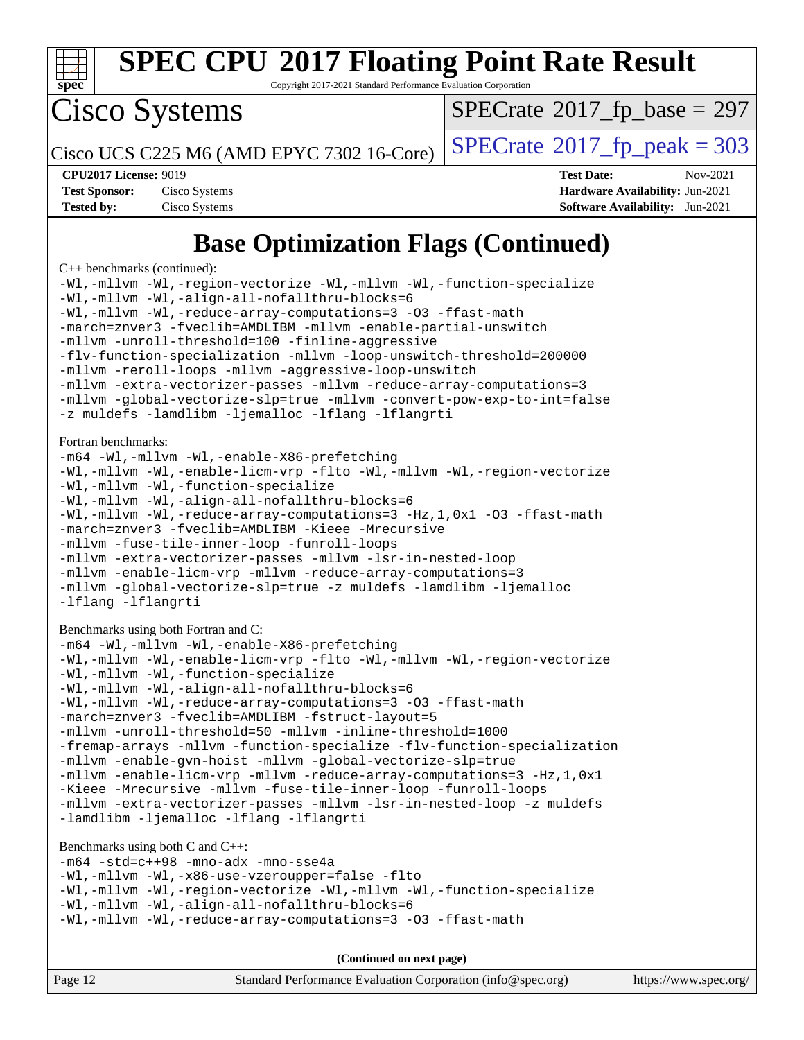

Copyright 2017-2021 Standard Performance Evaluation Corporation

Cisco Systems

 $SPECTate$ <sup>®</sup>[2017\\_fp\\_base =](http://www.spec.org/auto/cpu2017/Docs/result-fields.html#SPECrate2017fpbase) 297

Cisco UCS C225 M6 (AMD EPYC 7302 16-Core)  $\left| \text{SPECrate} \right|$  $\left| \text{SPECrate} \right|$  $\left| \text{SPECrate} \right|$   $2017$   $\left| \text{fp\_peak} \right| = 303$ 

**[Tested by:](http://www.spec.org/auto/cpu2017/Docs/result-fields.html#Testedby)** Cisco Systems **[Software Availability:](http://www.spec.org/auto/cpu2017/Docs/result-fields.html#SoftwareAvailability)** Jun-2021

**[CPU2017 License:](http://www.spec.org/auto/cpu2017/Docs/result-fields.html#CPU2017License)** 9019 **[Test Date:](http://www.spec.org/auto/cpu2017/Docs/result-fields.html#TestDate)** Nov-2021 **[Test Sponsor:](http://www.spec.org/auto/cpu2017/Docs/result-fields.html#TestSponsor)** Cisco Systems **[Hardware Availability:](http://www.spec.org/auto/cpu2017/Docs/result-fields.html#HardwareAvailability)** Jun-2021

## **[Base Optimization Flags \(Continued\)](http://www.spec.org/auto/cpu2017/Docs/result-fields.html#BaseOptimizationFlags)**

[C++ benchmarks](http://www.spec.org/auto/cpu2017/Docs/result-fields.html#CXXbenchmarks) (continued):

[-Wl,-mllvm -Wl,-region-vectorize](http://www.spec.org/cpu2017/results/res2021q4/cpu2017-20211207-30388.flags.html#user_CXXbase_F-region-vectorize_fb6c6b5aa293c88efc6c7c2b52b20755e943585b1fe8658c35afef78727fff56e1a56891413c30e36b8e2a6f9a71126986319243e80eb6110b78b288f533c52b) [-Wl,-mllvm -Wl,-function-specialize](http://www.spec.org/cpu2017/results/res2021q4/cpu2017-20211207-30388.flags.html#user_CXXbase_F-function-specialize_7e7e661e57922243ee67c9a1251cb8910e607325179a0ce7f2884e09a6f5d4a5ef0ae4f37e8a2a11c95fc48e931f06dc2b6016f14b511fcb441e048bef1b065a) [-Wl,-mllvm -Wl,-align-all-nofallthru-blocks=6](http://www.spec.org/cpu2017/results/res2021q4/cpu2017-20211207-30388.flags.html#user_CXXbase_F-align-all-nofallthru-blocks) [-Wl,-mllvm -Wl,-reduce-array-computations=3](http://www.spec.org/cpu2017/results/res2021q4/cpu2017-20211207-30388.flags.html#user_CXXbase_F-reduce-array-computations_b882aefe7a5dda4e33149f6299762b9a720dace3e498e13756f4c04e5a19edf5315c1f3993de2e61ec41e8c206231f84e05da7040e1bb5d69ba27d10a12507e4) [-O3](http://www.spec.org/cpu2017/results/res2021q4/cpu2017-20211207-30388.flags.html#user_CXXbase_F-O3) [-ffast-math](http://www.spec.org/cpu2017/results/res2021q4/cpu2017-20211207-30388.flags.html#user_CXXbase_aocc-ffast-math) [-march=znver3](http://www.spec.org/cpu2017/results/res2021q4/cpu2017-20211207-30388.flags.html#user_CXXbase_aocc-march) [-fveclib=AMDLIBM](http://www.spec.org/cpu2017/results/res2021q4/cpu2017-20211207-30388.flags.html#user_CXXbase_F-fveclib) [-mllvm -enable-partial-unswitch](http://www.spec.org/cpu2017/results/res2021q4/cpu2017-20211207-30388.flags.html#user_CXXbase_F-enable-partial-unswitch_6e1c33f981d77963b1eaf834973128a7f33ce3f8e27f54689656697a35e89dcc875281e0e6283d043e32f367dcb605ba0e307a92e830f7e326789fa6c61b35d3) [-mllvm -unroll-threshold=100](http://www.spec.org/cpu2017/results/res2021q4/cpu2017-20211207-30388.flags.html#user_CXXbase_F-unroll-threshold) [-finline-aggressive](http://www.spec.org/cpu2017/results/res2021q4/cpu2017-20211207-30388.flags.html#user_CXXbase_F-finline-aggressive) [-flv-function-specialization](http://www.spec.org/cpu2017/results/res2021q4/cpu2017-20211207-30388.flags.html#user_CXXbase_F-flv-function-specialization) [-mllvm -loop-unswitch-threshold=200000](http://www.spec.org/cpu2017/results/res2021q4/cpu2017-20211207-30388.flags.html#user_CXXbase_F-loop-unswitch-threshold_f9a82ae3270e55b5fbf79d0d96ee93606b73edbbe527d20b18b7bff1a3a146ad50cfc7454c5297978340ae9213029016a7d16221274d672d3f7f42ed25274e1d) [-mllvm -reroll-loops](http://www.spec.org/cpu2017/results/res2021q4/cpu2017-20211207-30388.flags.html#user_CXXbase_F-reroll-loops) [-mllvm -aggressive-loop-unswitch](http://www.spec.org/cpu2017/results/res2021q4/cpu2017-20211207-30388.flags.html#user_CXXbase_F-aggressive-loop-unswitch_abd8177005d493f9a81f88ae32814acdc0422950e54bc53b0605c538e2e7549eb43d48c826089056b98aa2f0c142dc7ed1401fa1c97db9286a8c3ff748437b59) [-mllvm -extra-vectorizer-passes](http://www.spec.org/cpu2017/results/res2021q4/cpu2017-20211207-30388.flags.html#user_CXXbase_F-extra-vectorizer-passes_4bb9f90681e045f5ce38050c5c48e52c5a95ed819cbc44e12f6b389a91a38f1bfb7d9f51b06906bf2bd7ccd881019f6383c418982c71e3a142c10a060056d555) [-mllvm -reduce-array-computations=3](http://www.spec.org/cpu2017/results/res2021q4/cpu2017-20211207-30388.flags.html#user_CXXbase_F-reduce-array-computations) [-mllvm -global-vectorize-slp=true](http://www.spec.org/cpu2017/results/res2021q4/cpu2017-20211207-30388.flags.html#user_CXXbase_F-global-vectorize-slp_f701c289ed3fc79483844cad3672606d268e3123d2651e764a36e57810b634b30ff7af25c43ce4288d0e4c1cc47ba156fce6ed971bc0d0e53c4c557f353d3dec) [-mllvm -convert-pow-exp-to-int=false](http://www.spec.org/cpu2017/results/res2021q4/cpu2017-20211207-30388.flags.html#user_CXXbase_F-convert-pow-exp-to-int_48075d7f300181d7350b7c152e089ba974e4acf53c583458eae87b0ecd6f9aa5a8546e2797aca77a784d497b972647cfd65b81c02996ee1106af5ba1043433c1) [-z muldefs](http://www.spec.org/cpu2017/results/res2021q4/cpu2017-20211207-30388.flags.html#user_CXXbase_aocc-muldefs) [-lamdlibm](http://www.spec.org/cpu2017/results/res2021q4/cpu2017-20211207-30388.flags.html#user_CXXbase_F-lamdlibm) [-ljemalloc](http://www.spec.org/cpu2017/results/res2021q4/cpu2017-20211207-30388.flags.html#user_CXXbase_jemalloc-lib) [-lflang](http://www.spec.org/cpu2017/results/res2021q4/cpu2017-20211207-30388.flags.html#user_CXXbase_F-lflang) [-lflangrti](http://www.spec.org/cpu2017/results/res2021q4/cpu2017-20211207-30388.flags.html#user_CXXbase_F-lflangrti) [Fortran benchmarks](http://www.spec.org/auto/cpu2017/Docs/result-fields.html#Fortranbenchmarks): [-m64](http://www.spec.org/cpu2017/results/res2021q4/cpu2017-20211207-30388.flags.html#user_FCbase_F-m64) [-Wl,-mllvm -Wl,-enable-X86-prefetching](http://www.spec.org/cpu2017/results/res2021q4/cpu2017-20211207-30388.flags.html#user_FCbase_F-enable-X86-prefetching_362de7b2f7f327d498ff3502bcaa6d8937de40fbbc59a600e539433e6b2cb9ea5e30d4a00c3465ce74a160670b5fcaffd57d10fdc90b0d7ee2c6f387a6bf1aee) [-Wl,-mllvm -Wl,-enable-licm-vrp](http://www.spec.org/cpu2017/results/res2021q4/cpu2017-20211207-30388.flags.html#user_FCbase_F-enable-licm-vrp_65c4fc69039207ec88421e1591ba3bbf2ac715c2f390cac268ece6f40ae7757bd65f971ef38c9b70aedd2bf37e4037d3d64a7fe88db6aed78b6f244274772259) [-flto](http://www.spec.org/cpu2017/results/res2021q4/cpu2017-20211207-30388.flags.html#user_FCbase_aocc-flto) [-Wl,-mllvm -Wl,-region-vectorize](http://www.spec.org/cpu2017/results/res2021q4/cpu2017-20211207-30388.flags.html#user_FCbase_F-region-vectorize_fb6c6b5aa293c88efc6c7c2b52b20755e943585b1fe8658c35afef78727fff56e1a56891413c30e36b8e2a6f9a71126986319243e80eb6110b78b288f533c52b) [-Wl,-mllvm -Wl,-function-specialize](http://www.spec.org/cpu2017/results/res2021q4/cpu2017-20211207-30388.flags.html#user_FCbase_F-function-specialize_7e7e661e57922243ee67c9a1251cb8910e607325179a0ce7f2884e09a6f5d4a5ef0ae4f37e8a2a11c95fc48e931f06dc2b6016f14b511fcb441e048bef1b065a) [-Wl,-mllvm -Wl,-align-all-nofallthru-blocks=6](http://www.spec.org/cpu2017/results/res2021q4/cpu2017-20211207-30388.flags.html#user_FCbase_F-align-all-nofallthru-blocks) [-Wl,-mllvm -Wl,-reduce-array-computations=3](http://www.spec.org/cpu2017/results/res2021q4/cpu2017-20211207-30388.flags.html#user_FCbase_F-reduce-array-computations_b882aefe7a5dda4e33149f6299762b9a720dace3e498e13756f4c04e5a19edf5315c1f3993de2e61ec41e8c206231f84e05da7040e1bb5d69ba27d10a12507e4) -Hz, 1, 0x1 [-O3](http://www.spec.org/cpu2017/results/res2021q4/cpu2017-20211207-30388.flags.html#user_FCbase_F-O3) [-ffast-math](http://www.spec.org/cpu2017/results/res2021q4/cpu2017-20211207-30388.flags.html#user_FCbase_aocc-ffast-math) [-march=znver3](http://www.spec.org/cpu2017/results/res2021q4/cpu2017-20211207-30388.flags.html#user_FCbase_aocc-march) [-fveclib=AMDLIBM](http://www.spec.org/cpu2017/results/res2021q4/cpu2017-20211207-30388.flags.html#user_FCbase_F-fveclib) [-Kieee](http://www.spec.org/cpu2017/results/res2021q4/cpu2017-20211207-30388.flags.html#user_FCbase_F-kieee) [-Mrecursive](http://www.spec.org/cpu2017/results/res2021q4/cpu2017-20211207-30388.flags.html#user_FCbase_F-mrecursive) [-mllvm -fuse-tile-inner-loop](http://www.spec.org/cpu2017/results/res2021q4/cpu2017-20211207-30388.flags.html#user_FCbase_F-fuse-tile-inner-loop_a96ec74f3ab7113ca948afab2f7df720fdaa7c20bd316986c0fe40ef5f82f2613ee26bde25c6cf421f527cd549c2b0b12b7e2cdf22e7a5a52600673d8851f1df) [-funroll-loops](http://www.spec.org/cpu2017/results/res2021q4/cpu2017-20211207-30388.flags.html#user_FCbase_aocc-unroll-loops) [-mllvm -extra-vectorizer-passes](http://www.spec.org/cpu2017/results/res2021q4/cpu2017-20211207-30388.flags.html#user_FCbase_F-extra-vectorizer-passes_4bb9f90681e045f5ce38050c5c48e52c5a95ed819cbc44e12f6b389a91a38f1bfb7d9f51b06906bf2bd7ccd881019f6383c418982c71e3a142c10a060056d555) [-mllvm -lsr-in-nested-loop](http://www.spec.org/cpu2017/results/res2021q4/cpu2017-20211207-30388.flags.html#user_FCbase_F-lsr-in-nested-loop_73f878522b3ccb742989d8e6de767863b372c2128b38f859376ee3fb883bc58dcc0955f53f856eb534bcc3be9d53927141e78ef6b7f1398bb0518a7b833043eb) [-mllvm -enable-licm-vrp](http://www.spec.org/cpu2017/results/res2021q4/cpu2017-20211207-30388.flags.html#user_FCbase_F-enable-licm-vrp_82fd83574dee81d8c8043a1355024a53ba7c23d449242d72368fd778ae4cd8625fb6c8e473e88c632367ccc13b0c321b9a13b8db897fcfc1592cf0205fd356b5) [-mllvm -reduce-array-computations=3](http://www.spec.org/cpu2017/results/res2021q4/cpu2017-20211207-30388.flags.html#user_FCbase_F-reduce-array-computations) [-mllvm -global-vectorize-slp=true](http://www.spec.org/cpu2017/results/res2021q4/cpu2017-20211207-30388.flags.html#user_FCbase_F-global-vectorize-slp_f701c289ed3fc79483844cad3672606d268e3123d2651e764a36e57810b634b30ff7af25c43ce4288d0e4c1cc47ba156fce6ed971bc0d0e53c4c557f353d3dec) [-z muldefs](http://www.spec.org/cpu2017/results/res2021q4/cpu2017-20211207-30388.flags.html#user_FCbase_aocc-muldefs) [-lamdlibm](http://www.spec.org/cpu2017/results/res2021q4/cpu2017-20211207-30388.flags.html#user_FCbase_F-lamdlibm) [-ljemalloc](http://www.spec.org/cpu2017/results/res2021q4/cpu2017-20211207-30388.flags.html#user_FCbase_jemalloc-lib) [-lflang](http://www.spec.org/cpu2017/results/res2021q4/cpu2017-20211207-30388.flags.html#user_FCbase_F-lflang) [-lflangrti](http://www.spec.org/cpu2017/results/res2021q4/cpu2017-20211207-30388.flags.html#user_FCbase_F-lflangrti) [Benchmarks using both Fortran and C](http://www.spec.org/auto/cpu2017/Docs/result-fields.html#BenchmarksusingbothFortranandC): [-m64](http://www.spec.org/cpu2017/results/res2021q4/cpu2017-20211207-30388.flags.html#user_CC_FCbase_F-m64) [-Wl,-mllvm -Wl,-enable-X86-prefetching](http://www.spec.org/cpu2017/results/res2021q4/cpu2017-20211207-30388.flags.html#user_CC_FCbase_F-enable-X86-prefetching_362de7b2f7f327d498ff3502bcaa6d8937de40fbbc59a600e539433e6b2cb9ea5e30d4a00c3465ce74a160670b5fcaffd57d10fdc90b0d7ee2c6f387a6bf1aee) [-Wl,-mllvm -Wl,-enable-licm-vrp](http://www.spec.org/cpu2017/results/res2021q4/cpu2017-20211207-30388.flags.html#user_CC_FCbase_F-enable-licm-vrp_65c4fc69039207ec88421e1591ba3bbf2ac715c2f390cac268ece6f40ae7757bd65f971ef38c9b70aedd2bf37e4037d3d64a7fe88db6aed78b6f244274772259) [-flto](http://www.spec.org/cpu2017/results/res2021q4/cpu2017-20211207-30388.flags.html#user_CC_FCbase_aocc-flto) [-Wl,-mllvm -Wl,-region-vectorize](http://www.spec.org/cpu2017/results/res2021q4/cpu2017-20211207-30388.flags.html#user_CC_FCbase_F-region-vectorize_fb6c6b5aa293c88efc6c7c2b52b20755e943585b1fe8658c35afef78727fff56e1a56891413c30e36b8e2a6f9a71126986319243e80eb6110b78b288f533c52b) [-Wl,-mllvm -Wl,-function-specialize](http://www.spec.org/cpu2017/results/res2021q4/cpu2017-20211207-30388.flags.html#user_CC_FCbase_F-function-specialize_7e7e661e57922243ee67c9a1251cb8910e607325179a0ce7f2884e09a6f5d4a5ef0ae4f37e8a2a11c95fc48e931f06dc2b6016f14b511fcb441e048bef1b065a) [-Wl,-mllvm -Wl,-align-all-nofallthru-blocks=6](http://www.spec.org/cpu2017/results/res2021q4/cpu2017-20211207-30388.flags.html#user_CC_FCbase_F-align-all-nofallthru-blocks) [-Wl,-mllvm -Wl,-reduce-array-computations=3](http://www.spec.org/cpu2017/results/res2021q4/cpu2017-20211207-30388.flags.html#user_CC_FCbase_F-reduce-array-computations_b882aefe7a5dda4e33149f6299762b9a720dace3e498e13756f4c04e5a19edf5315c1f3993de2e61ec41e8c206231f84e05da7040e1bb5d69ba27d10a12507e4) [-O3](http://www.spec.org/cpu2017/results/res2021q4/cpu2017-20211207-30388.flags.html#user_CC_FCbase_F-O3) [-ffast-math](http://www.spec.org/cpu2017/results/res2021q4/cpu2017-20211207-30388.flags.html#user_CC_FCbase_aocc-ffast-math) [-march=znver3](http://www.spec.org/cpu2017/results/res2021q4/cpu2017-20211207-30388.flags.html#user_CC_FCbase_aocc-march) [-fveclib=AMDLIBM](http://www.spec.org/cpu2017/results/res2021q4/cpu2017-20211207-30388.flags.html#user_CC_FCbase_F-fveclib) [-fstruct-layout=5](http://www.spec.org/cpu2017/results/res2021q4/cpu2017-20211207-30388.flags.html#user_CC_FCbase_F-struct-layout) [-mllvm -unroll-threshold=50](http://www.spec.org/cpu2017/results/res2021q4/cpu2017-20211207-30388.flags.html#user_CC_FCbase_F-unroll-threshold_458874500b2c105d6d5cb4d7a611c40e2b16e9e3d26b355fea72d644c3673b4de4b3932662f0ed3dbec75c491a13da2d2ca81180bd779dc531083ef1e1e549dc) [-mllvm -inline-threshold=1000](http://www.spec.org/cpu2017/results/res2021q4/cpu2017-20211207-30388.flags.html#user_CC_FCbase_F-inline-threshold_b7832241b0a6397e4ecdbaf0eb7defdc10f885c2a282fa3240fdc99844d543fda39cf8a4a9dccf68cf19b5438ac3b455264f478df15da0f4988afa40d8243bab) [-fremap-arrays](http://www.spec.org/cpu2017/results/res2021q4/cpu2017-20211207-30388.flags.html#user_CC_FCbase_F-fremap-arrays) [-mllvm -function-specialize](http://www.spec.org/cpu2017/results/res2021q4/cpu2017-20211207-30388.flags.html#user_CC_FCbase_F-function-specialize_233b3bdba86027f1b094368157e481c5bc59f40286dc25bfadc1858dcd5745c24fd30d5f188710db7fea399bcc9f44a80b3ce3aacc70a8870250c3ae5e1f35b8) [-flv-function-specialization](http://www.spec.org/cpu2017/results/res2021q4/cpu2017-20211207-30388.flags.html#user_CC_FCbase_F-flv-function-specialization)

[-mllvm -enable-gvn-hoist](http://www.spec.org/cpu2017/results/res2021q4/cpu2017-20211207-30388.flags.html#user_CC_FCbase_F-enable-gvn-hoist_e5856354646dd6ca1333a0ad99b817e4cf8932b91b82809fd8fd47ceff7b22a89eba5c98fd3e3fa5200368fd772cec3dd56abc3c8f7b655a71b9f9848dddedd5) [-mllvm -global-vectorize-slp=true](http://www.spec.org/cpu2017/results/res2021q4/cpu2017-20211207-30388.flags.html#user_CC_FCbase_F-global-vectorize-slp_f701c289ed3fc79483844cad3672606d268e3123d2651e764a36e57810b634b30ff7af25c43ce4288d0e4c1cc47ba156fce6ed971bc0d0e53c4c557f353d3dec) [-mllvm -enable-licm-vrp](http://www.spec.org/cpu2017/results/res2021q4/cpu2017-20211207-30388.flags.html#user_CC_FCbase_F-enable-licm-vrp_82fd83574dee81d8c8043a1355024a53ba7c23d449242d72368fd778ae4cd8625fb6c8e473e88c632367ccc13b0c321b9a13b8db897fcfc1592cf0205fd356b5) [-mllvm -reduce-array-computations=3](http://www.spec.org/cpu2017/results/res2021q4/cpu2017-20211207-30388.flags.html#user_CC_FCbase_F-reduce-array-computations) [-Hz,1,0x1](http://www.spec.org/cpu2017/results/res2021q4/cpu2017-20211207-30388.flags.html#user_CC_FCbase_F-save-array-metadata) [-Kieee](http://www.spec.org/cpu2017/results/res2021q4/cpu2017-20211207-30388.flags.html#user_CC_FCbase_F-kieee) [-Mrecursive](http://www.spec.org/cpu2017/results/res2021q4/cpu2017-20211207-30388.flags.html#user_CC_FCbase_F-mrecursive) [-mllvm -fuse-tile-inner-loop](http://www.spec.org/cpu2017/results/res2021q4/cpu2017-20211207-30388.flags.html#user_CC_FCbase_F-fuse-tile-inner-loop_a96ec74f3ab7113ca948afab2f7df720fdaa7c20bd316986c0fe40ef5f82f2613ee26bde25c6cf421f527cd549c2b0b12b7e2cdf22e7a5a52600673d8851f1df) [-funroll-loops](http://www.spec.org/cpu2017/results/res2021q4/cpu2017-20211207-30388.flags.html#user_CC_FCbase_aocc-unroll-loops) [-mllvm -extra-vectorizer-passes](http://www.spec.org/cpu2017/results/res2021q4/cpu2017-20211207-30388.flags.html#user_CC_FCbase_F-extra-vectorizer-passes_4bb9f90681e045f5ce38050c5c48e52c5a95ed819cbc44e12f6b389a91a38f1bfb7d9f51b06906bf2bd7ccd881019f6383c418982c71e3a142c10a060056d555) [-mllvm -lsr-in-nested-loop](http://www.spec.org/cpu2017/results/res2021q4/cpu2017-20211207-30388.flags.html#user_CC_FCbase_F-lsr-in-nested-loop_73f878522b3ccb742989d8e6de767863b372c2128b38f859376ee3fb883bc58dcc0955f53f856eb534bcc3be9d53927141e78ef6b7f1398bb0518a7b833043eb) [-z muldefs](http://www.spec.org/cpu2017/results/res2021q4/cpu2017-20211207-30388.flags.html#user_CC_FCbase_aocc-muldefs) [-lamdlibm](http://www.spec.org/cpu2017/results/res2021q4/cpu2017-20211207-30388.flags.html#user_CC_FCbase_F-lamdlibm) [-ljemalloc](http://www.spec.org/cpu2017/results/res2021q4/cpu2017-20211207-30388.flags.html#user_CC_FCbase_jemalloc-lib) [-lflang](http://www.spec.org/cpu2017/results/res2021q4/cpu2017-20211207-30388.flags.html#user_CC_FCbase_F-lflang) [-lflangrti](http://www.spec.org/cpu2017/results/res2021q4/cpu2017-20211207-30388.flags.html#user_CC_FCbase_F-lflangrti)

[Benchmarks using both C and C++](http://www.spec.org/auto/cpu2017/Docs/result-fields.html#BenchmarksusingbothCandCXX):

[-m64](http://www.spec.org/cpu2017/results/res2021q4/cpu2017-20211207-30388.flags.html#user_CC_CXXbase_F-m64) [-std=c++98](http://www.spec.org/cpu2017/results/res2021q4/cpu2017-20211207-30388.flags.html#user_CC_CXXbase_std-cpp) [-mno-adx](http://www.spec.org/cpu2017/results/res2021q4/cpu2017-20211207-30388.flags.html#user_CC_CXXbase_F-mno-adx) [-mno-sse4a](http://www.spec.org/cpu2017/results/res2021q4/cpu2017-20211207-30388.flags.html#user_CC_CXXbase_F-mno-sse4a) [-Wl,-mllvm -Wl,-x86-use-vzeroupper=false](http://www.spec.org/cpu2017/results/res2021q4/cpu2017-20211207-30388.flags.html#user_CC_CXXbase_F-use-vzeroupper_f792211b0552b0142c11cf651c85f88d7eca3e3e6d4ab29ab8b0b7be9c7d83df7aebb846b5dded1424ec84d39acb59d058815f97bc3ae9de4ba00ee4e2945c83) [-flto](http://www.spec.org/cpu2017/results/res2021q4/cpu2017-20211207-30388.flags.html#user_CC_CXXbase_aocc-flto) [-Wl,-mllvm -Wl,-region-vectorize](http://www.spec.org/cpu2017/results/res2021q4/cpu2017-20211207-30388.flags.html#user_CC_CXXbase_F-region-vectorize_fb6c6b5aa293c88efc6c7c2b52b20755e943585b1fe8658c35afef78727fff56e1a56891413c30e36b8e2a6f9a71126986319243e80eb6110b78b288f533c52b) [-Wl,-mllvm -Wl,-function-specialize](http://www.spec.org/cpu2017/results/res2021q4/cpu2017-20211207-30388.flags.html#user_CC_CXXbase_F-function-specialize_7e7e661e57922243ee67c9a1251cb8910e607325179a0ce7f2884e09a6f5d4a5ef0ae4f37e8a2a11c95fc48e931f06dc2b6016f14b511fcb441e048bef1b065a) [-Wl,-mllvm -Wl,-align-all-nofallthru-blocks=6](http://www.spec.org/cpu2017/results/res2021q4/cpu2017-20211207-30388.flags.html#user_CC_CXXbase_F-align-all-nofallthru-blocks) [-Wl,-mllvm -Wl,-reduce-array-computations=3](http://www.spec.org/cpu2017/results/res2021q4/cpu2017-20211207-30388.flags.html#user_CC_CXXbase_F-reduce-array-computations_b882aefe7a5dda4e33149f6299762b9a720dace3e498e13756f4c04e5a19edf5315c1f3993de2e61ec41e8c206231f84e05da7040e1bb5d69ba27d10a12507e4) [-O3](http://www.spec.org/cpu2017/results/res2021q4/cpu2017-20211207-30388.flags.html#user_CC_CXXbase_F-O3) [-ffast-math](http://www.spec.org/cpu2017/results/res2021q4/cpu2017-20211207-30388.flags.html#user_CC_CXXbase_aocc-ffast-math)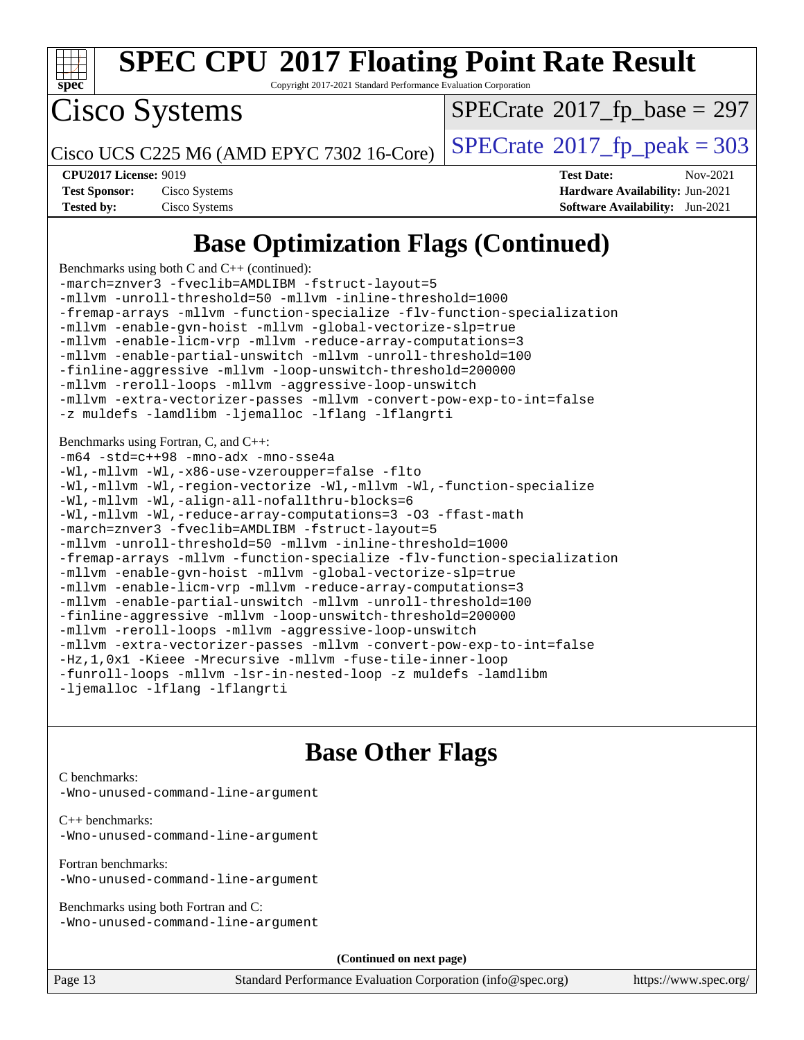

Copyright 2017-2021 Standard Performance Evaluation Corporation

Cisco Systems

 $SPECTate$ <sup>®</sup>[2017\\_fp\\_base =](http://www.spec.org/auto/cpu2017/Docs/result-fields.html#SPECrate2017fpbase) 297

Cisco UCS C225 M6 (AMD EPYC 7302 16-Core)  $\left| \text{SPECrate} \right|$  $\left| \text{SPECrate} \right|$  $\left| \text{SPECrate} \right|$   $2017$   $\left| \text{fp\_peak} \right| = 303$ 

| <b>Test Sponsor:</b> | Cisco Systems |
|----------------------|---------------|
| <b>Tested by:</b>    | Cisco Systems |

**[CPU2017 License:](http://www.spec.org/auto/cpu2017/Docs/result-fields.html#CPU2017License)** 9019 **[Test Date:](http://www.spec.org/auto/cpu2017/Docs/result-fields.html#TestDate)** Nov-2021 **[Hardware Availability:](http://www.spec.org/auto/cpu2017/Docs/result-fields.html#HardwareAvailability) Jun-2021 [Software Availability:](http://www.spec.org/auto/cpu2017/Docs/result-fields.html#SoftwareAvailability)** Jun-2021

## **[Base Optimization Flags \(Continued\)](http://www.spec.org/auto/cpu2017/Docs/result-fields.html#BaseOptimizationFlags)**

[Benchmarks using both C and C++](http://www.spec.org/auto/cpu2017/Docs/result-fields.html#BenchmarksusingbothCandCXX) (continued): [-march=znver3](http://www.spec.org/cpu2017/results/res2021q4/cpu2017-20211207-30388.flags.html#user_CC_CXXbase_aocc-march) [-fveclib=AMDLIBM](http://www.spec.org/cpu2017/results/res2021q4/cpu2017-20211207-30388.flags.html#user_CC_CXXbase_F-fveclib) [-fstruct-layout=5](http://www.spec.org/cpu2017/results/res2021q4/cpu2017-20211207-30388.flags.html#user_CC_CXXbase_F-struct-layout) [-mllvm -unroll-threshold=50](http://www.spec.org/cpu2017/results/res2021q4/cpu2017-20211207-30388.flags.html#user_CC_CXXbase_F-unroll-threshold_458874500b2c105d6d5cb4d7a611c40e2b16e9e3d26b355fea72d644c3673b4de4b3932662f0ed3dbec75c491a13da2d2ca81180bd779dc531083ef1e1e549dc) [-mllvm -inline-threshold=1000](http://www.spec.org/cpu2017/results/res2021q4/cpu2017-20211207-30388.flags.html#user_CC_CXXbase_F-inline-threshold_b7832241b0a6397e4ecdbaf0eb7defdc10f885c2a282fa3240fdc99844d543fda39cf8a4a9dccf68cf19b5438ac3b455264f478df15da0f4988afa40d8243bab) [-fremap-arrays](http://www.spec.org/cpu2017/results/res2021q4/cpu2017-20211207-30388.flags.html#user_CC_CXXbase_F-fremap-arrays) [-mllvm -function-specialize](http://www.spec.org/cpu2017/results/res2021q4/cpu2017-20211207-30388.flags.html#user_CC_CXXbase_F-function-specialize_233b3bdba86027f1b094368157e481c5bc59f40286dc25bfadc1858dcd5745c24fd30d5f188710db7fea399bcc9f44a80b3ce3aacc70a8870250c3ae5e1f35b8) [-flv-function-specialization](http://www.spec.org/cpu2017/results/res2021q4/cpu2017-20211207-30388.flags.html#user_CC_CXXbase_F-flv-function-specialization) [-mllvm -enable-gvn-hoist](http://www.spec.org/cpu2017/results/res2021q4/cpu2017-20211207-30388.flags.html#user_CC_CXXbase_F-enable-gvn-hoist_e5856354646dd6ca1333a0ad99b817e4cf8932b91b82809fd8fd47ceff7b22a89eba5c98fd3e3fa5200368fd772cec3dd56abc3c8f7b655a71b9f9848dddedd5) [-mllvm -global-vectorize-slp=true](http://www.spec.org/cpu2017/results/res2021q4/cpu2017-20211207-30388.flags.html#user_CC_CXXbase_F-global-vectorize-slp_f701c289ed3fc79483844cad3672606d268e3123d2651e764a36e57810b634b30ff7af25c43ce4288d0e4c1cc47ba156fce6ed971bc0d0e53c4c557f353d3dec) [-mllvm -enable-licm-vrp](http://www.spec.org/cpu2017/results/res2021q4/cpu2017-20211207-30388.flags.html#user_CC_CXXbase_F-enable-licm-vrp_82fd83574dee81d8c8043a1355024a53ba7c23d449242d72368fd778ae4cd8625fb6c8e473e88c632367ccc13b0c321b9a13b8db897fcfc1592cf0205fd356b5) [-mllvm -reduce-array-computations=3](http://www.spec.org/cpu2017/results/res2021q4/cpu2017-20211207-30388.flags.html#user_CC_CXXbase_F-reduce-array-computations) [-mllvm -enable-partial-unswitch](http://www.spec.org/cpu2017/results/res2021q4/cpu2017-20211207-30388.flags.html#user_CC_CXXbase_F-enable-partial-unswitch_6e1c33f981d77963b1eaf834973128a7f33ce3f8e27f54689656697a35e89dcc875281e0e6283d043e32f367dcb605ba0e307a92e830f7e326789fa6c61b35d3) [-mllvm -unroll-threshold=100](http://www.spec.org/cpu2017/results/res2021q4/cpu2017-20211207-30388.flags.html#user_CC_CXXbase_F-unroll-threshold) [-finline-aggressive](http://www.spec.org/cpu2017/results/res2021q4/cpu2017-20211207-30388.flags.html#user_CC_CXXbase_F-finline-aggressive) [-mllvm -loop-unswitch-threshold=200000](http://www.spec.org/cpu2017/results/res2021q4/cpu2017-20211207-30388.flags.html#user_CC_CXXbase_F-loop-unswitch-threshold_f9a82ae3270e55b5fbf79d0d96ee93606b73edbbe527d20b18b7bff1a3a146ad50cfc7454c5297978340ae9213029016a7d16221274d672d3f7f42ed25274e1d) [-mllvm -reroll-loops](http://www.spec.org/cpu2017/results/res2021q4/cpu2017-20211207-30388.flags.html#user_CC_CXXbase_F-reroll-loops) [-mllvm -aggressive-loop-unswitch](http://www.spec.org/cpu2017/results/res2021q4/cpu2017-20211207-30388.flags.html#user_CC_CXXbase_F-aggressive-loop-unswitch_abd8177005d493f9a81f88ae32814acdc0422950e54bc53b0605c538e2e7549eb43d48c826089056b98aa2f0c142dc7ed1401fa1c97db9286a8c3ff748437b59) [-mllvm -extra-vectorizer-passes](http://www.spec.org/cpu2017/results/res2021q4/cpu2017-20211207-30388.flags.html#user_CC_CXXbase_F-extra-vectorizer-passes_4bb9f90681e045f5ce38050c5c48e52c5a95ed819cbc44e12f6b389a91a38f1bfb7d9f51b06906bf2bd7ccd881019f6383c418982c71e3a142c10a060056d555) [-mllvm -convert-pow-exp-to-int=false](http://www.spec.org/cpu2017/results/res2021q4/cpu2017-20211207-30388.flags.html#user_CC_CXXbase_F-convert-pow-exp-to-int_48075d7f300181d7350b7c152e089ba974e4acf53c583458eae87b0ecd6f9aa5a8546e2797aca77a784d497b972647cfd65b81c02996ee1106af5ba1043433c1) [-z muldefs](http://www.spec.org/cpu2017/results/res2021q4/cpu2017-20211207-30388.flags.html#user_CC_CXXbase_aocc-muldefs) [-lamdlibm](http://www.spec.org/cpu2017/results/res2021q4/cpu2017-20211207-30388.flags.html#user_CC_CXXbase_F-lamdlibm) [-ljemalloc](http://www.spec.org/cpu2017/results/res2021q4/cpu2017-20211207-30388.flags.html#user_CC_CXXbase_jemalloc-lib) [-lflang](http://www.spec.org/cpu2017/results/res2021q4/cpu2017-20211207-30388.flags.html#user_CC_CXXbase_F-lflang) [-lflangrti](http://www.spec.org/cpu2017/results/res2021q4/cpu2017-20211207-30388.flags.html#user_CC_CXXbase_F-lflangrti) [Benchmarks using Fortran, C, and C++:](http://www.spec.org/auto/cpu2017/Docs/result-fields.html#BenchmarksusingFortranCandCXX) [-m64](http://www.spec.org/cpu2017/results/res2021q4/cpu2017-20211207-30388.flags.html#user_CC_CXX_FCbase_F-m64) [-std=c++98](http://www.spec.org/cpu2017/results/res2021q4/cpu2017-20211207-30388.flags.html#user_CC_CXX_FCbase_std-cpp) [-mno-adx](http://www.spec.org/cpu2017/results/res2021q4/cpu2017-20211207-30388.flags.html#user_CC_CXX_FCbase_F-mno-adx) [-mno-sse4a](http://www.spec.org/cpu2017/results/res2021q4/cpu2017-20211207-30388.flags.html#user_CC_CXX_FCbase_F-mno-sse4a) [-Wl,-mllvm -Wl,-x86-use-vzeroupper=false](http://www.spec.org/cpu2017/results/res2021q4/cpu2017-20211207-30388.flags.html#user_CC_CXX_FCbase_F-use-vzeroupper_f792211b0552b0142c11cf651c85f88d7eca3e3e6d4ab29ab8b0b7be9c7d83df7aebb846b5dded1424ec84d39acb59d058815f97bc3ae9de4ba00ee4e2945c83) [-flto](http://www.spec.org/cpu2017/results/res2021q4/cpu2017-20211207-30388.flags.html#user_CC_CXX_FCbase_aocc-flto) [-Wl,-mllvm -Wl,-region-vectorize](http://www.spec.org/cpu2017/results/res2021q4/cpu2017-20211207-30388.flags.html#user_CC_CXX_FCbase_F-region-vectorize_fb6c6b5aa293c88efc6c7c2b52b20755e943585b1fe8658c35afef78727fff56e1a56891413c30e36b8e2a6f9a71126986319243e80eb6110b78b288f533c52b) [-Wl,-mllvm -Wl,-function-specialize](http://www.spec.org/cpu2017/results/res2021q4/cpu2017-20211207-30388.flags.html#user_CC_CXX_FCbase_F-function-specialize_7e7e661e57922243ee67c9a1251cb8910e607325179a0ce7f2884e09a6f5d4a5ef0ae4f37e8a2a11c95fc48e931f06dc2b6016f14b511fcb441e048bef1b065a) [-Wl,-mllvm -Wl,-align-all-nofallthru-blocks=6](http://www.spec.org/cpu2017/results/res2021q4/cpu2017-20211207-30388.flags.html#user_CC_CXX_FCbase_F-align-all-nofallthru-blocks) [-Wl,-mllvm -Wl,-reduce-array-computations=3](http://www.spec.org/cpu2017/results/res2021q4/cpu2017-20211207-30388.flags.html#user_CC_CXX_FCbase_F-reduce-array-computations_b882aefe7a5dda4e33149f6299762b9a720dace3e498e13756f4c04e5a19edf5315c1f3993de2e61ec41e8c206231f84e05da7040e1bb5d69ba27d10a12507e4) [-O3](http://www.spec.org/cpu2017/results/res2021q4/cpu2017-20211207-30388.flags.html#user_CC_CXX_FCbase_F-O3) [-ffast-math](http://www.spec.org/cpu2017/results/res2021q4/cpu2017-20211207-30388.flags.html#user_CC_CXX_FCbase_aocc-ffast-math) [-march=znver3](http://www.spec.org/cpu2017/results/res2021q4/cpu2017-20211207-30388.flags.html#user_CC_CXX_FCbase_aocc-march) [-fveclib=AMDLIBM](http://www.spec.org/cpu2017/results/res2021q4/cpu2017-20211207-30388.flags.html#user_CC_CXX_FCbase_F-fveclib) [-fstruct-layout=5](http://www.spec.org/cpu2017/results/res2021q4/cpu2017-20211207-30388.flags.html#user_CC_CXX_FCbase_F-struct-layout) [-mllvm -unroll-threshold=50](http://www.spec.org/cpu2017/results/res2021q4/cpu2017-20211207-30388.flags.html#user_CC_CXX_FCbase_F-unroll-threshold_458874500b2c105d6d5cb4d7a611c40e2b16e9e3d26b355fea72d644c3673b4de4b3932662f0ed3dbec75c491a13da2d2ca81180bd779dc531083ef1e1e549dc) [-mllvm -inline-threshold=1000](http://www.spec.org/cpu2017/results/res2021q4/cpu2017-20211207-30388.flags.html#user_CC_CXX_FCbase_F-inline-threshold_b7832241b0a6397e4ecdbaf0eb7defdc10f885c2a282fa3240fdc99844d543fda39cf8a4a9dccf68cf19b5438ac3b455264f478df15da0f4988afa40d8243bab) [-fremap-arrays](http://www.spec.org/cpu2017/results/res2021q4/cpu2017-20211207-30388.flags.html#user_CC_CXX_FCbase_F-fremap-arrays) [-mllvm -function-specialize](http://www.spec.org/cpu2017/results/res2021q4/cpu2017-20211207-30388.flags.html#user_CC_CXX_FCbase_F-function-specialize_233b3bdba86027f1b094368157e481c5bc59f40286dc25bfadc1858dcd5745c24fd30d5f188710db7fea399bcc9f44a80b3ce3aacc70a8870250c3ae5e1f35b8) [-flv-function-specialization](http://www.spec.org/cpu2017/results/res2021q4/cpu2017-20211207-30388.flags.html#user_CC_CXX_FCbase_F-flv-function-specialization) [-mllvm -enable-gvn-hoist](http://www.spec.org/cpu2017/results/res2021q4/cpu2017-20211207-30388.flags.html#user_CC_CXX_FCbase_F-enable-gvn-hoist_e5856354646dd6ca1333a0ad99b817e4cf8932b91b82809fd8fd47ceff7b22a89eba5c98fd3e3fa5200368fd772cec3dd56abc3c8f7b655a71b9f9848dddedd5) [-mllvm -global-vectorize-slp=true](http://www.spec.org/cpu2017/results/res2021q4/cpu2017-20211207-30388.flags.html#user_CC_CXX_FCbase_F-global-vectorize-slp_f701c289ed3fc79483844cad3672606d268e3123d2651e764a36e57810b634b30ff7af25c43ce4288d0e4c1cc47ba156fce6ed971bc0d0e53c4c557f353d3dec) [-mllvm -enable-licm-vrp](http://www.spec.org/cpu2017/results/res2021q4/cpu2017-20211207-30388.flags.html#user_CC_CXX_FCbase_F-enable-licm-vrp_82fd83574dee81d8c8043a1355024a53ba7c23d449242d72368fd778ae4cd8625fb6c8e473e88c632367ccc13b0c321b9a13b8db897fcfc1592cf0205fd356b5) [-mllvm -reduce-array-computations=3](http://www.spec.org/cpu2017/results/res2021q4/cpu2017-20211207-30388.flags.html#user_CC_CXX_FCbase_F-reduce-array-computations) [-mllvm -enable-partial-unswitch](http://www.spec.org/cpu2017/results/res2021q4/cpu2017-20211207-30388.flags.html#user_CC_CXX_FCbase_F-enable-partial-unswitch_6e1c33f981d77963b1eaf834973128a7f33ce3f8e27f54689656697a35e89dcc875281e0e6283d043e32f367dcb605ba0e307a92e830f7e326789fa6c61b35d3) [-mllvm -unroll-threshold=100](http://www.spec.org/cpu2017/results/res2021q4/cpu2017-20211207-30388.flags.html#user_CC_CXX_FCbase_F-unroll-threshold) [-finline-aggressive](http://www.spec.org/cpu2017/results/res2021q4/cpu2017-20211207-30388.flags.html#user_CC_CXX_FCbase_F-finline-aggressive) [-mllvm -loop-unswitch-threshold=200000](http://www.spec.org/cpu2017/results/res2021q4/cpu2017-20211207-30388.flags.html#user_CC_CXX_FCbase_F-loop-unswitch-threshold_f9a82ae3270e55b5fbf79d0d96ee93606b73edbbe527d20b18b7bff1a3a146ad50cfc7454c5297978340ae9213029016a7d16221274d672d3f7f42ed25274e1d) [-mllvm -reroll-loops](http://www.spec.org/cpu2017/results/res2021q4/cpu2017-20211207-30388.flags.html#user_CC_CXX_FCbase_F-reroll-loops) [-mllvm -aggressive-loop-unswitch](http://www.spec.org/cpu2017/results/res2021q4/cpu2017-20211207-30388.flags.html#user_CC_CXX_FCbase_F-aggressive-loop-unswitch_abd8177005d493f9a81f88ae32814acdc0422950e54bc53b0605c538e2e7549eb43d48c826089056b98aa2f0c142dc7ed1401fa1c97db9286a8c3ff748437b59) [-mllvm -extra-vectorizer-passes](http://www.spec.org/cpu2017/results/res2021q4/cpu2017-20211207-30388.flags.html#user_CC_CXX_FCbase_F-extra-vectorizer-passes_4bb9f90681e045f5ce38050c5c48e52c5a95ed819cbc44e12f6b389a91a38f1bfb7d9f51b06906bf2bd7ccd881019f6383c418982c71e3a142c10a060056d555) [-mllvm -convert-pow-exp-to-int=false](http://www.spec.org/cpu2017/results/res2021q4/cpu2017-20211207-30388.flags.html#user_CC_CXX_FCbase_F-convert-pow-exp-to-int_48075d7f300181d7350b7c152e089ba974e4acf53c583458eae87b0ecd6f9aa5a8546e2797aca77a784d497b972647cfd65b81c02996ee1106af5ba1043433c1) [-Hz,1,0x1](http://www.spec.org/cpu2017/results/res2021q4/cpu2017-20211207-30388.flags.html#user_CC_CXX_FCbase_F-save-array-metadata) [-Kieee](http://www.spec.org/cpu2017/results/res2021q4/cpu2017-20211207-30388.flags.html#user_CC_CXX_FCbase_F-kieee) [-Mrecursive](http://www.spec.org/cpu2017/results/res2021q4/cpu2017-20211207-30388.flags.html#user_CC_CXX_FCbase_F-mrecursive) [-mllvm -fuse-tile-inner-loop](http://www.spec.org/cpu2017/results/res2021q4/cpu2017-20211207-30388.flags.html#user_CC_CXX_FCbase_F-fuse-tile-inner-loop_a96ec74f3ab7113ca948afab2f7df720fdaa7c20bd316986c0fe40ef5f82f2613ee26bde25c6cf421f527cd549c2b0b12b7e2cdf22e7a5a52600673d8851f1df) [-funroll-loops](http://www.spec.org/cpu2017/results/res2021q4/cpu2017-20211207-30388.flags.html#user_CC_CXX_FCbase_aocc-unroll-loops) [-mllvm -lsr-in-nested-loop](http://www.spec.org/cpu2017/results/res2021q4/cpu2017-20211207-30388.flags.html#user_CC_CXX_FCbase_F-lsr-in-nested-loop_73f878522b3ccb742989d8e6de767863b372c2128b38f859376ee3fb883bc58dcc0955f53f856eb534bcc3be9d53927141e78ef6b7f1398bb0518a7b833043eb) [-z muldefs](http://www.spec.org/cpu2017/results/res2021q4/cpu2017-20211207-30388.flags.html#user_CC_CXX_FCbase_aocc-muldefs) [-lamdlibm](http://www.spec.org/cpu2017/results/res2021q4/cpu2017-20211207-30388.flags.html#user_CC_CXX_FCbase_F-lamdlibm) [-ljemalloc](http://www.spec.org/cpu2017/results/res2021q4/cpu2017-20211207-30388.flags.html#user_CC_CXX_FCbase_jemalloc-lib) [-lflang](http://www.spec.org/cpu2017/results/res2021q4/cpu2017-20211207-30388.flags.html#user_CC_CXX_FCbase_F-lflang) [-lflangrti](http://www.spec.org/cpu2017/results/res2021q4/cpu2017-20211207-30388.flags.html#user_CC_CXX_FCbase_F-lflangrti)

### **[Base Other Flags](http://www.spec.org/auto/cpu2017/Docs/result-fields.html#BaseOtherFlags)**

### [C benchmarks](http://www.spec.org/auto/cpu2017/Docs/result-fields.html#Cbenchmarks):

[-Wno-unused-command-line-argument](http://www.spec.org/cpu2017/results/res2021q4/cpu2017-20211207-30388.flags.html#user_CCbase_F-Wno-unused-command-line-argument)

[C++ benchmarks:](http://www.spec.org/auto/cpu2017/Docs/result-fields.html#CXXbenchmarks) [-Wno-unused-command-line-argument](http://www.spec.org/cpu2017/results/res2021q4/cpu2017-20211207-30388.flags.html#user_CXXbase_F-Wno-unused-command-line-argument)

[Fortran benchmarks](http://www.spec.org/auto/cpu2017/Docs/result-fields.html#Fortranbenchmarks): [-Wno-unused-command-line-argument](http://www.spec.org/cpu2017/results/res2021q4/cpu2017-20211207-30388.flags.html#user_FCbase_F-Wno-unused-command-line-argument)

[Benchmarks using both Fortran and C](http://www.spec.org/auto/cpu2017/Docs/result-fields.html#BenchmarksusingbothFortranandC): [-Wno-unused-command-line-argument](http://www.spec.org/cpu2017/results/res2021q4/cpu2017-20211207-30388.flags.html#user_CC_FCbase_F-Wno-unused-command-line-argument)

**(Continued on next page)**

Page 13 Standard Performance Evaluation Corporation [\(info@spec.org\)](mailto:info@spec.org) <https://www.spec.org/>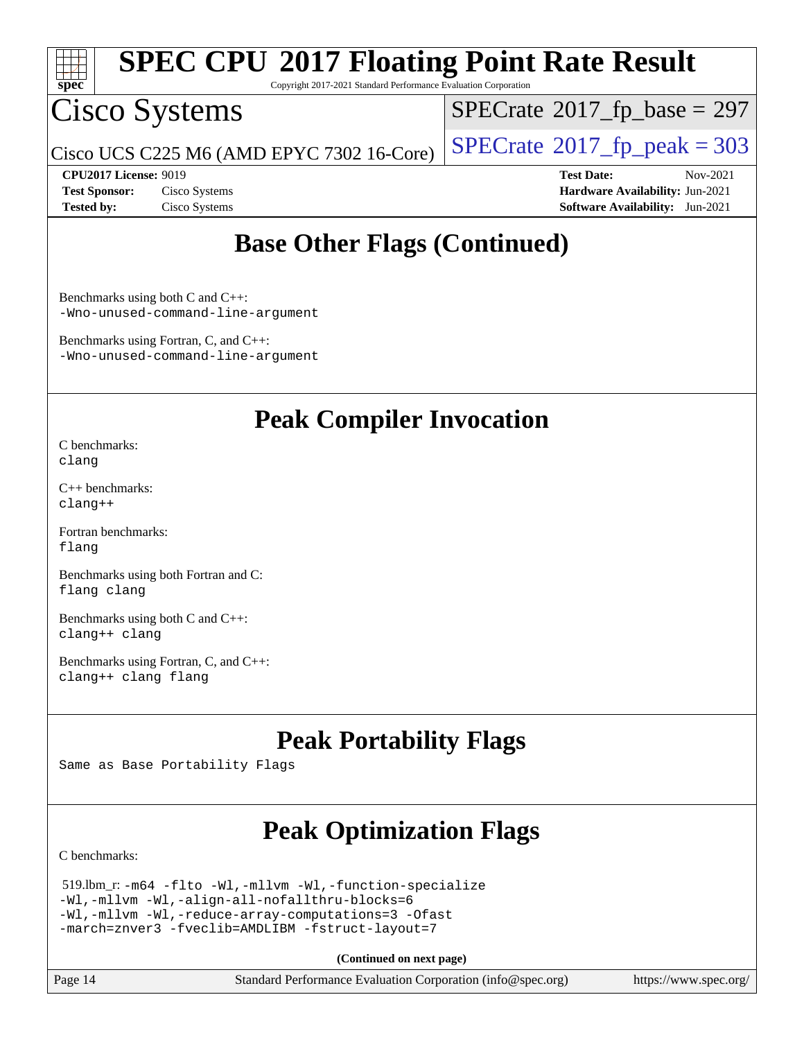

Copyright 2017-2021 Standard Performance Evaluation Corporation

## Cisco Systems

 $SPECTate$ <sup>®</sup>[2017\\_fp\\_base =](http://www.spec.org/auto/cpu2017/Docs/result-fields.html#SPECrate2017fpbase) 297

Cisco UCS C225 M6 (AMD EPYC 7302 16-Core)  $\left|$  [SPECrate](http://www.spec.org/auto/cpu2017/Docs/result-fields.html#SPECrate2017fppeak)®[2017\\_fp\\_peak = 3](http://www.spec.org/auto/cpu2017/Docs/result-fields.html#SPECrate2017fppeak)03

**[CPU2017 License:](http://www.spec.org/auto/cpu2017/Docs/result-fields.html#CPU2017License)** 9019 **[Test Date:](http://www.spec.org/auto/cpu2017/Docs/result-fields.html#TestDate)** Nov-2021 **[Test Sponsor:](http://www.spec.org/auto/cpu2017/Docs/result-fields.html#TestSponsor)** Cisco Systems **[Hardware Availability:](http://www.spec.org/auto/cpu2017/Docs/result-fields.html#HardwareAvailability)** Jun-2021 **[Tested by:](http://www.spec.org/auto/cpu2017/Docs/result-fields.html#Testedby)** Cisco Systems **[Software Availability:](http://www.spec.org/auto/cpu2017/Docs/result-fields.html#SoftwareAvailability)** Jun-2021

### **[Base Other Flags \(Continued\)](http://www.spec.org/auto/cpu2017/Docs/result-fields.html#BaseOtherFlags)**

[Benchmarks using both C and C++](http://www.spec.org/auto/cpu2017/Docs/result-fields.html#BenchmarksusingbothCandCXX): [-Wno-unused-command-line-argument](http://www.spec.org/cpu2017/results/res2021q4/cpu2017-20211207-30388.flags.html#user_CC_CXXbase_F-Wno-unused-command-line-argument)

[Benchmarks using Fortran, C, and C++:](http://www.spec.org/auto/cpu2017/Docs/result-fields.html#BenchmarksusingFortranCandCXX) [-Wno-unused-command-line-argument](http://www.spec.org/cpu2017/results/res2021q4/cpu2017-20211207-30388.flags.html#user_CC_CXX_FCbase_F-Wno-unused-command-line-argument)

### **[Peak Compiler Invocation](http://www.spec.org/auto/cpu2017/Docs/result-fields.html#PeakCompilerInvocation)**

[C benchmarks](http://www.spec.org/auto/cpu2017/Docs/result-fields.html#Cbenchmarks): [clang](http://www.spec.org/cpu2017/results/res2021q4/cpu2017-20211207-30388.flags.html#user_CCpeak_clang-c)

[C++ benchmarks:](http://www.spec.org/auto/cpu2017/Docs/result-fields.html#CXXbenchmarks) [clang++](http://www.spec.org/cpu2017/results/res2021q4/cpu2017-20211207-30388.flags.html#user_CXXpeak_clang-cpp)

[Fortran benchmarks](http://www.spec.org/auto/cpu2017/Docs/result-fields.html#Fortranbenchmarks): [flang](http://www.spec.org/cpu2017/results/res2021q4/cpu2017-20211207-30388.flags.html#user_FCpeak_flang)

[Benchmarks using both Fortran and C](http://www.spec.org/auto/cpu2017/Docs/result-fields.html#BenchmarksusingbothFortranandC): [flang](http://www.spec.org/cpu2017/results/res2021q4/cpu2017-20211207-30388.flags.html#user_CC_FCpeak_flang) [clang](http://www.spec.org/cpu2017/results/res2021q4/cpu2017-20211207-30388.flags.html#user_CC_FCpeak_clang-c)

[Benchmarks using both C and C++](http://www.spec.org/auto/cpu2017/Docs/result-fields.html#BenchmarksusingbothCandCXX): [clang++](http://www.spec.org/cpu2017/results/res2021q4/cpu2017-20211207-30388.flags.html#user_CC_CXXpeak_clang-cpp) [clang](http://www.spec.org/cpu2017/results/res2021q4/cpu2017-20211207-30388.flags.html#user_CC_CXXpeak_clang-c)

[Benchmarks using Fortran, C, and C++:](http://www.spec.org/auto/cpu2017/Docs/result-fields.html#BenchmarksusingFortranCandCXX) [clang++](http://www.spec.org/cpu2017/results/res2021q4/cpu2017-20211207-30388.flags.html#user_CC_CXX_FCpeak_clang-cpp) [clang](http://www.spec.org/cpu2017/results/res2021q4/cpu2017-20211207-30388.flags.html#user_CC_CXX_FCpeak_clang-c) [flang](http://www.spec.org/cpu2017/results/res2021q4/cpu2017-20211207-30388.flags.html#user_CC_CXX_FCpeak_flang)

## **[Peak Portability Flags](http://www.spec.org/auto/cpu2017/Docs/result-fields.html#PeakPortabilityFlags)**

Same as Base Portability Flags

## **[Peak Optimization Flags](http://www.spec.org/auto/cpu2017/Docs/result-fields.html#PeakOptimizationFlags)**

[C benchmarks](http://www.spec.org/auto/cpu2017/Docs/result-fields.html#Cbenchmarks):

```
 519.lbm_r: -m64 -flto -Wl,-mllvm -Wl,-function-specialize
-Wl,-mllvm -Wl,-align-all-nofallthru-blocks=6
-Wl,-mllvm -Wl,-reduce-array-computations=3 -Ofast
-march=znver3 -fveclib=AMDLIBM -fstruct-layout=7
```
**(Continued on next page)**

Page 14 Standard Performance Evaluation Corporation [\(info@spec.org\)](mailto:info@spec.org) <https://www.spec.org/>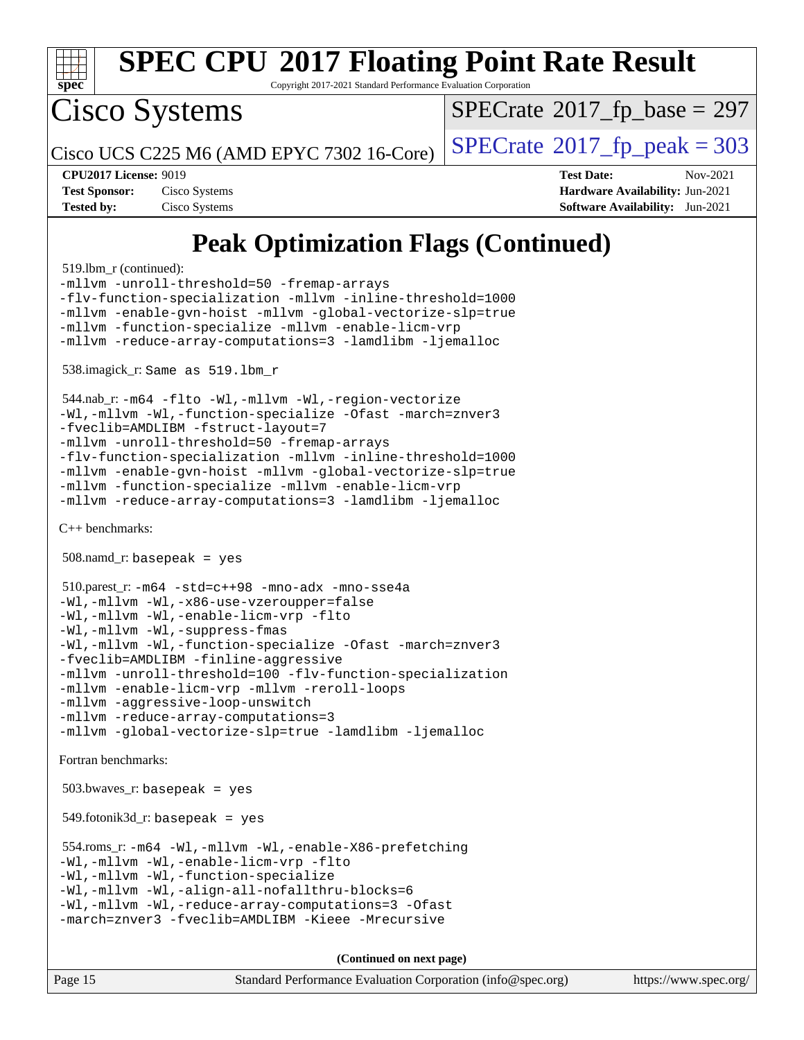

Copyright 2017-2021 Standard Performance Evaluation Corporation

Cisco Systems

 $SPECTate$ <sup>®</sup>[2017\\_fp\\_base =](http://www.spec.org/auto/cpu2017/Docs/result-fields.html#SPECrate2017fpbase) 297

Cisco UCS C225 M6 (AMD EPYC 7302 16-Core)  $\left| \text{SPECrate} \right|$  $\left| \text{SPECrate} \right|$  $\left| \text{SPECrate} \right|$   $2017$   $\left| \text{fp\_peak} \right| = 303$ 

| <b>Test Sponsor:</b> | Cisco Systems |
|----------------------|---------------|
| <b>Tested by:</b>    | Cisco Systems |

**[CPU2017 License:](http://www.spec.org/auto/cpu2017/Docs/result-fields.html#CPU2017License)** 9019 **[Test Date:](http://www.spec.org/auto/cpu2017/Docs/result-fields.html#TestDate)** Nov-2021 **[Hardware Availability:](http://www.spec.org/auto/cpu2017/Docs/result-fields.html#HardwareAvailability) Jun-2021 [Software Availability:](http://www.spec.org/auto/cpu2017/Docs/result-fields.html#SoftwareAvailability)** Jun-2021

## **[Peak Optimization Flags \(Continued\)](http://www.spec.org/auto/cpu2017/Docs/result-fields.html#PeakOptimizationFlags)**

519.lbm\_r (continued):

[-mllvm -unroll-threshold=50](http://www.spec.org/cpu2017/results/res2021q4/cpu2017-20211207-30388.flags.html#user_peakCOPTIMIZE519_lbm_r_F-unroll-threshold_458874500b2c105d6d5cb4d7a611c40e2b16e9e3d26b355fea72d644c3673b4de4b3932662f0ed3dbec75c491a13da2d2ca81180bd779dc531083ef1e1e549dc) [-fremap-arrays](http://www.spec.org/cpu2017/results/res2021q4/cpu2017-20211207-30388.flags.html#user_peakCOPTIMIZE519_lbm_r_F-fremap-arrays) [-flv-function-specialization](http://www.spec.org/cpu2017/results/res2021q4/cpu2017-20211207-30388.flags.html#user_peakCOPTIMIZE519_lbm_r_F-flv-function-specialization) [-mllvm -inline-threshold=1000](http://www.spec.org/cpu2017/results/res2021q4/cpu2017-20211207-30388.flags.html#user_peakCOPTIMIZE519_lbm_r_F-inline-threshold_b7832241b0a6397e4ecdbaf0eb7defdc10f885c2a282fa3240fdc99844d543fda39cf8a4a9dccf68cf19b5438ac3b455264f478df15da0f4988afa40d8243bab) [-mllvm -enable-gvn-hoist](http://www.spec.org/cpu2017/results/res2021q4/cpu2017-20211207-30388.flags.html#user_peakCOPTIMIZE519_lbm_r_F-enable-gvn-hoist_e5856354646dd6ca1333a0ad99b817e4cf8932b91b82809fd8fd47ceff7b22a89eba5c98fd3e3fa5200368fd772cec3dd56abc3c8f7b655a71b9f9848dddedd5) [-mllvm -global-vectorize-slp=true](http://www.spec.org/cpu2017/results/res2021q4/cpu2017-20211207-30388.flags.html#user_peakCOPTIMIZE519_lbm_r_F-global-vectorize-slp_f701c289ed3fc79483844cad3672606d268e3123d2651e764a36e57810b634b30ff7af25c43ce4288d0e4c1cc47ba156fce6ed971bc0d0e53c4c557f353d3dec) [-mllvm -function-specialize](http://www.spec.org/cpu2017/results/res2021q4/cpu2017-20211207-30388.flags.html#user_peakCOPTIMIZE519_lbm_r_F-function-specialize_233b3bdba86027f1b094368157e481c5bc59f40286dc25bfadc1858dcd5745c24fd30d5f188710db7fea399bcc9f44a80b3ce3aacc70a8870250c3ae5e1f35b8) [-mllvm -enable-licm-vrp](http://www.spec.org/cpu2017/results/res2021q4/cpu2017-20211207-30388.flags.html#user_peakCOPTIMIZE519_lbm_r_F-enable-licm-vrp_82fd83574dee81d8c8043a1355024a53ba7c23d449242d72368fd778ae4cd8625fb6c8e473e88c632367ccc13b0c321b9a13b8db897fcfc1592cf0205fd356b5) [-mllvm -reduce-array-computations=3](http://www.spec.org/cpu2017/results/res2021q4/cpu2017-20211207-30388.flags.html#user_peakCOPTIMIZE519_lbm_r_F-reduce-array-computations) [-lamdlibm](http://www.spec.org/cpu2017/results/res2021q4/cpu2017-20211207-30388.flags.html#user_peakEXTRA_LIBS519_lbm_r_F-lamdlibm) [-ljemalloc](http://www.spec.org/cpu2017/results/res2021q4/cpu2017-20211207-30388.flags.html#user_peakEXTRA_LIBS519_lbm_r_jemalloc-lib)

538.imagick\_r: Same as 519.lbm\_r

 544.nab\_r: [-m64](http://www.spec.org/cpu2017/results/res2021q4/cpu2017-20211207-30388.flags.html#user_peakCCLD544_nab_r_F-m64) [-flto](http://www.spec.org/cpu2017/results/res2021q4/cpu2017-20211207-30388.flags.html#user_peakCOPTIMIZEEXTRA_LDFLAGS544_nab_r_aocc-flto) [-Wl,-mllvm -Wl,-region-vectorize](http://www.spec.org/cpu2017/results/res2021q4/cpu2017-20211207-30388.flags.html#user_peakEXTRA_LDFLAGS544_nab_r_F-region-vectorize_fb6c6b5aa293c88efc6c7c2b52b20755e943585b1fe8658c35afef78727fff56e1a56891413c30e36b8e2a6f9a71126986319243e80eb6110b78b288f533c52b) [-Wl,-mllvm -Wl,-function-specialize](http://www.spec.org/cpu2017/results/res2021q4/cpu2017-20211207-30388.flags.html#user_peakEXTRA_LDFLAGS544_nab_r_F-function-specialize_7e7e661e57922243ee67c9a1251cb8910e607325179a0ce7f2884e09a6f5d4a5ef0ae4f37e8a2a11c95fc48e931f06dc2b6016f14b511fcb441e048bef1b065a) [-Ofast](http://www.spec.org/cpu2017/results/res2021q4/cpu2017-20211207-30388.flags.html#user_peakCOPTIMIZE544_nab_r_aocc-Ofast) [-march=znver3](http://www.spec.org/cpu2017/results/res2021q4/cpu2017-20211207-30388.flags.html#user_peakCOPTIMIZE544_nab_r_aocc-march) [-fveclib=AMDLIBM](http://www.spec.org/cpu2017/results/res2021q4/cpu2017-20211207-30388.flags.html#user_peakCOPTIMIZE544_nab_r_F-fveclib) [-fstruct-layout=7](http://www.spec.org/cpu2017/results/res2021q4/cpu2017-20211207-30388.flags.html#user_peakCOPTIMIZE544_nab_r_F-struct-layout_bb5ca1df7367e944cc4ca61612cc03d98834394c255cd0c6192b74953ffa1609f9fc38f5f1e72e3b07e2e558865a0ecfad5df250ac72d4e5924673196dbcdf1c) [-mllvm -unroll-threshold=50](http://www.spec.org/cpu2017/results/res2021q4/cpu2017-20211207-30388.flags.html#user_peakCOPTIMIZE544_nab_r_F-unroll-threshold_458874500b2c105d6d5cb4d7a611c40e2b16e9e3d26b355fea72d644c3673b4de4b3932662f0ed3dbec75c491a13da2d2ca81180bd779dc531083ef1e1e549dc) [-fremap-arrays](http://www.spec.org/cpu2017/results/res2021q4/cpu2017-20211207-30388.flags.html#user_peakCOPTIMIZE544_nab_r_F-fremap-arrays) [-flv-function-specialization](http://www.spec.org/cpu2017/results/res2021q4/cpu2017-20211207-30388.flags.html#user_peakCOPTIMIZE544_nab_r_F-flv-function-specialization) [-mllvm -inline-threshold=1000](http://www.spec.org/cpu2017/results/res2021q4/cpu2017-20211207-30388.flags.html#user_peakCOPTIMIZE544_nab_r_F-inline-threshold_b7832241b0a6397e4ecdbaf0eb7defdc10f885c2a282fa3240fdc99844d543fda39cf8a4a9dccf68cf19b5438ac3b455264f478df15da0f4988afa40d8243bab) [-mllvm -enable-gvn-hoist](http://www.spec.org/cpu2017/results/res2021q4/cpu2017-20211207-30388.flags.html#user_peakCOPTIMIZE544_nab_r_F-enable-gvn-hoist_e5856354646dd6ca1333a0ad99b817e4cf8932b91b82809fd8fd47ceff7b22a89eba5c98fd3e3fa5200368fd772cec3dd56abc3c8f7b655a71b9f9848dddedd5) [-mllvm -global-vectorize-slp=true](http://www.spec.org/cpu2017/results/res2021q4/cpu2017-20211207-30388.flags.html#user_peakCOPTIMIZE544_nab_r_F-global-vectorize-slp_f701c289ed3fc79483844cad3672606d268e3123d2651e764a36e57810b634b30ff7af25c43ce4288d0e4c1cc47ba156fce6ed971bc0d0e53c4c557f353d3dec) [-mllvm -function-specialize](http://www.spec.org/cpu2017/results/res2021q4/cpu2017-20211207-30388.flags.html#user_peakCOPTIMIZE544_nab_r_F-function-specialize_233b3bdba86027f1b094368157e481c5bc59f40286dc25bfadc1858dcd5745c24fd30d5f188710db7fea399bcc9f44a80b3ce3aacc70a8870250c3ae5e1f35b8) [-mllvm -enable-licm-vrp](http://www.spec.org/cpu2017/results/res2021q4/cpu2017-20211207-30388.flags.html#user_peakCOPTIMIZE544_nab_r_F-enable-licm-vrp_82fd83574dee81d8c8043a1355024a53ba7c23d449242d72368fd778ae4cd8625fb6c8e473e88c632367ccc13b0c321b9a13b8db897fcfc1592cf0205fd356b5) [-mllvm -reduce-array-computations=3](http://www.spec.org/cpu2017/results/res2021q4/cpu2017-20211207-30388.flags.html#user_peakCOPTIMIZE544_nab_r_F-reduce-array-computations) [-lamdlibm](http://www.spec.org/cpu2017/results/res2021q4/cpu2017-20211207-30388.flags.html#user_peakEXTRA_LIBS544_nab_r_F-lamdlibm) [-ljemalloc](http://www.spec.org/cpu2017/results/res2021q4/cpu2017-20211207-30388.flags.html#user_peakEXTRA_LIBS544_nab_r_jemalloc-lib)

[C++ benchmarks:](http://www.spec.org/auto/cpu2017/Docs/result-fields.html#CXXbenchmarks)

 $508$ .namd\_r: basepeak = yes

```
 510.parest_r: -m64 -std=c++98 -mno-adx -mno-sse4a
-Wl,-mllvm -Wl,-x86-use-vzeroupper=false
-Wl,-mllvm -Wl,-enable-licm-vrp -flto
-Wl,-mllvm -Wl,-suppress-fmas
-Wl,-mllvm -Wl,-function-specialize -Ofast -march=znver3
-fveclib=AMDLIBM -finline-aggressive
-mllvm -unroll-threshold=100 -flv-function-specialization
-mllvm -enable-licm-vrp -mllvm -reroll-loops
-mllvm -aggressive-loop-unswitch
-mllvm -reduce-array-computations=3
-mllvm -global-vectorize-slp=true -lamdlibm -ljemalloc
```
[Fortran benchmarks](http://www.spec.org/auto/cpu2017/Docs/result-fields.html#Fortranbenchmarks):

 $503.bwaves$   $r:$  basepeak = yes

 $549.$ fotonik $3d$ \_r: basepeak = yes

```
 554.roms_r: -m64 -Wl,-mllvm -Wl,-enable-X86-prefetching
-Wl,-mllvm -Wl,-enable-licm-vrp -flto
-Wl,-mllvm -Wl,-function-specialize
-Wl,-mllvm -Wl,-align-all-nofallthru-blocks=6
-Wl,-mllvm -Wl,-reduce-array-computations=3 -Ofast
-march=znver3 -fveclib=AMDLIBM -Kieee -Mrecursive
```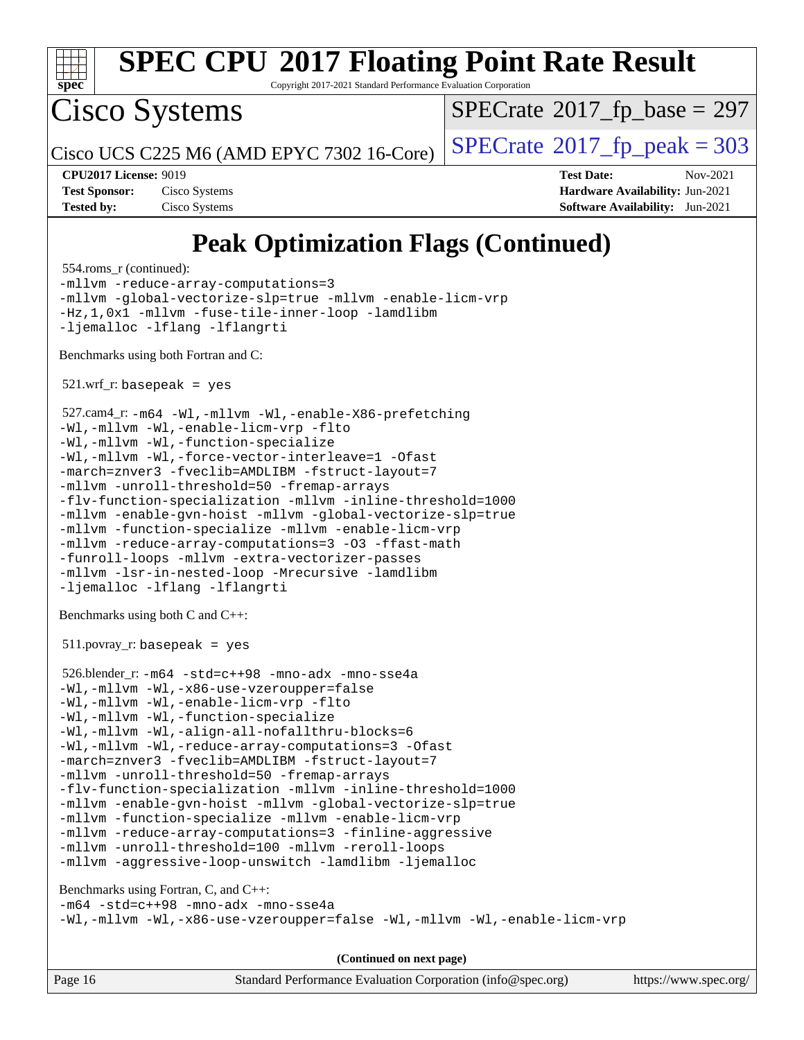

Copyright 2017-2021 Standard Performance Evaluation Corporation

Cisco Systems

 $SPECTate$ <sup>®</sup>[2017\\_fp\\_base =](http://www.spec.org/auto/cpu2017/Docs/result-fields.html#SPECrate2017fpbase) 297

Cisco UCS C225 M6 (AMD EPYC 7302 16-Core)  $\left| \text{SPECrate} \right|$  $\left| \text{SPECrate} \right|$  $\left| \text{SPECrate} \right|$   $2017$   $\left| \text{fp\_peak} \right| = 303$ 

**[Tested by:](http://www.spec.org/auto/cpu2017/Docs/result-fields.html#Testedby)** Cisco Systems **[Software Availability:](http://www.spec.org/auto/cpu2017/Docs/result-fields.html#SoftwareAvailability)** Jun-2021

**[CPU2017 License:](http://www.spec.org/auto/cpu2017/Docs/result-fields.html#CPU2017License)** 9019 **[Test Date:](http://www.spec.org/auto/cpu2017/Docs/result-fields.html#TestDate)** Nov-2021 **[Test Sponsor:](http://www.spec.org/auto/cpu2017/Docs/result-fields.html#TestSponsor)** Cisco Systems **[Hardware Availability:](http://www.spec.org/auto/cpu2017/Docs/result-fields.html#HardwareAvailability)** Jun-2021

## **[Peak Optimization Flags \(Continued\)](http://www.spec.org/auto/cpu2017/Docs/result-fields.html#PeakOptimizationFlags)**

554.roms\_r (continued):

[-mllvm -reduce-array-computations=3](http://www.spec.org/cpu2017/results/res2021q4/cpu2017-20211207-30388.flags.html#user_peakFOPTIMIZE554_roms_r_F-reduce-array-computations) [-mllvm -global-vectorize-slp=true](http://www.spec.org/cpu2017/results/res2021q4/cpu2017-20211207-30388.flags.html#user_peakFOPTIMIZE554_roms_r_F-global-vectorize-slp_f701c289ed3fc79483844cad3672606d268e3123d2651e764a36e57810b634b30ff7af25c43ce4288d0e4c1cc47ba156fce6ed971bc0d0e53c4c557f353d3dec) [-mllvm -enable-licm-vrp](http://www.spec.org/cpu2017/results/res2021q4/cpu2017-20211207-30388.flags.html#user_peakFOPTIMIZE554_roms_r_F-enable-licm-vrp_82fd83574dee81d8c8043a1355024a53ba7c23d449242d72368fd778ae4cd8625fb6c8e473e88c632367ccc13b0c321b9a13b8db897fcfc1592cf0205fd356b5) [-Hz,1,0x1](http://www.spec.org/cpu2017/results/res2021q4/cpu2017-20211207-30388.flags.html#user_peakEXTRA_FFLAGS554_roms_r_F-save-array-metadata) [-mllvm -fuse-tile-inner-loop](http://www.spec.org/cpu2017/results/res2021q4/cpu2017-20211207-30388.flags.html#user_peakEXTRA_FFLAGS554_roms_r_F-fuse-tile-inner-loop_a96ec74f3ab7113ca948afab2f7df720fdaa7c20bd316986c0fe40ef5f82f2613ee26bde25c6cf421f527cd549c2b0b12b7e2cdf22e7a5a52600673d8851f1df) [-lamdlibm](http://www.spec.org/cpu2017/results/res2021q4/cpu2017-20211207-30388.flags.html#user_peakEXTRA_LIBS554_roms_r_F-lamdlibm) [-ljemalloc](http://www.spec.org/cpu2017/results/res2021q4/cpu2017-20211207-30388.flags.html#user_peakEXTRA_LIBS554_roms_r_jemalloc-lib) [-lflang](http://www.spec.org/cpu2017/results/res2021q4/cpu2017-20211207-30388.flags.html#user_peakEXTRA_FLIBS554_roms_r_F-lflang) [-lflangrti](http://www.spec.org/cpu2017/results/res2021q4/cpu2017-20211207-30388.flags.html#user_peakEXTRA_FLIBS554_roms_r_F-lflangrti)

[Benchmarks using both Fortran and C](http://www.spec.org/auto/cpu2017/Docs/result-fields.html#BenchmarksusingbothFortranandC):

 $521.wrf\_r:$  basepeak = yes

```
 527.cam4_r: -m64 -Wl,-mllvm -Wl,-enable-X86-prefetching
-Wl,-mllvm -Wl,-enable-licm-vrp -flto
-Wl,-mllvm -Wl,-function-specialize
-Wl,-mllvm -Wl,-force-vector-interleave=1 -Ofast
-march=znver3 -fveclib=AMDLIBM -fstruct-layout=7
-mllvm -unroll-threshold=50 -fremap-arrays
-flv-function-specialization -mllvm -inline-threshold=1000
-mllvm -enable-gvn-hoist -mllvm -global-vectorize-slp=true
-mllvm -function-specialize -mllvm -enable-licm-vrp
-mllvm -reduce-array-computations=3 -O3 -ffast-math
-funroll-loops -mllvm -extra-vectorizer-passes
-mllvm -lsr-in-nested-loop -Mrecursive -lamdlibm
-ljemalloc -lflang -lflangrti
```
[Benchmarks using both C and C++](http://www.spec.org/auto/cpu2017/Docs/result-fields.html#BenchmarksusingbothCandCXX):

511.povray\_r: basepeak = yes

```
 526.blender_r: -m64 -std=c++98 -mno-adx -mno-sse4a
-Wl,-mllvm -Wl,-x86-use-vzeroupper=false
-Wl,-mllvm -Wl,-enable-licm-vrp -flto
-Wl,-mllvm -Wl,-function-specialize
-Wl,-mllvm -Wl,-align-all-nofallthru-blocks=6
-Wl,-mllvm -Wl,-reduce-array-computations=3 -Ofast
-march=znver3 -fveclib=AMDLIBM -fstruct-layout=7
-mllvm -unroll-threshold=50 -fremap-arrays
-flv-function-specialization -mllvm -inline-threshold=1000
-mllvm -enable-gvn-hoist -mllvm -global-vectorize-slp=true
-mllvm -function-specialize -mllvm -enable-licm-vrp
-mllvm -reduce-array-computations=3 -finline-aggressive
-mllvm -unroll-threshold=100 -mllvm -reroll-loops
-mllvm -aggressive-loop-unswitch -lamdlibm -ljemalloc
```
[Benchmarks using Fortran, C, and C++:](http://www.spec.org/auto/cpu2017/Docs/result-fields.html#BenchmarksusingFortranCandCXX) [-m64](http://www.spec.org/cpu2017/results/res2021q4/cpu2017-20211207-30388.flags.html#user_CC_CXX_FCpeak_F-m64) [-std=c++98](http://www.spec.org/cpu2017/results/res2021q4/cpu2017-20211207-30388.flags.html#user_CC_CXX_FCpeak_std-cpp) [-mno-adx](http://www.spec.org/cpu2017/results/res2021q4/cpu2017-20211207-30388.flags.html#user_CC_CXX_FCpeak_F-mno-adx) [-mno-sse4a](http://www.spec.org/cpu2017/results/res2021q4/cpu2017-20211207-30388.flags.html#user_CC_CXX_FCpeak_F-mno-sse4a) [-Wl,-mllvm -Wl,-x86-use-vzeroupper=false](http://www.spec.org/cpu2017/results/res2021q4/cpu2017-20211207-30388.flags.html#user_CC_CXX_FCpeak_F-use-vzeroupper_f792211b0552b0142c11cf651c85f88d7eca3e3e6d4ab29ab8b0b7be9c7d83df7aebb846b5dded1424ec84d39acb59d058815f97bc3ae9de4ba00ee4e2945c83) [-Wl,-mllvm -Wl,-enable-licm-vrp](http://www.spec.org/cpu2017/results/res2021q4/cpu2017-20211207-30388.flags.html#user_CC_CXX_FCpeak_F-enable-licm-vrp_65c4fc69039207ec88421e1591ba3bbf2ac715c2f390cac268ece6f40ae7757bd65f971ef38c9b70aedd2bf37e4037d3d64a7fe88db6aed78b6f244274772259)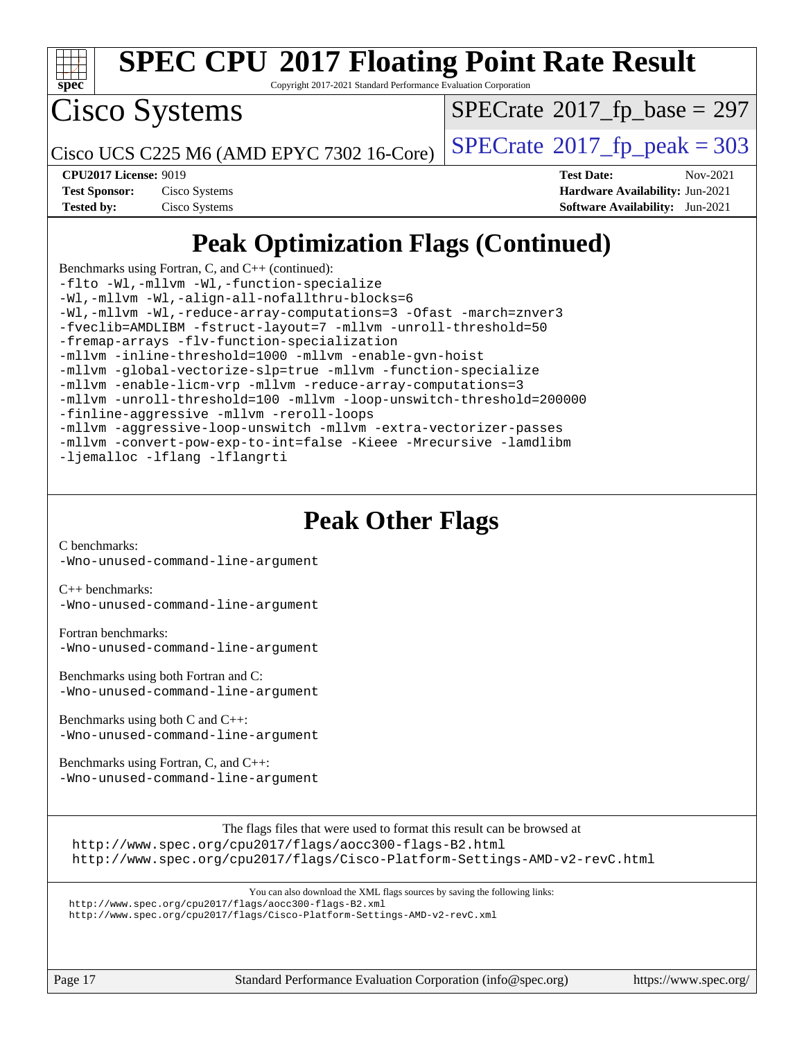

Copyright 2017-2021 Standard Performance Evaluation Corporation

Cisco Systems

 $SPECTate$ <sup>®</sup>[2017\\_fp\\_base =](http://www.spec.org/auto/cpu2017/Docs/result-fields.html#SPECrate2017fpbase) 297

Cisco UCS C225 M6 (AMD EPYC 7302 16-Core)  $\left| \text{SPECrate} \right|$  $\left| \text{SPECrate} \right|$  $\left| \text{SPECrate} \right|$   $2017$   $\left| \text{fp\_peak} \right| = 303$ 

**[Tested by:](http://www.spec.org/auto/cpu2017/Docs/result-fields.html#Testedby)** Cisco Systems **[Software Availability:](http://www.spec.org/auto/cpu2017/Docs/result-fields.html#SoftwareAvailability)** Jun-2021

**[CPU2017 License:](http://www.spec.org/auto/cpu2017/Docs/result-fields.html#CPU2017License)** 9019 **[Test Date:](http://www.spec.org/auto/cpu2017/Docs/result-fields.html#TestDate)** Nov-2021 **[Test Sponsor:](http://www.spec.org/auto/cpu2017/Docs/result-fields.html#TestSponsor)** Cisco Systems **[Hardware Availability:](http://www.spec.org/auto/cpu2017/Docs/result-fields.html#HardwareAvailability)** Jun-2021

## **[Peak Optimization Flags \(Continued\)](http://www.spec.org/auto/cpu2017/Docs/result-fields.html#PeakOptimizationFlags)**

[Benchmarks using Fortran, C, and C++](http://www.spec.org/auto/cpu2017/Docs/result-fields.html#BenchmarksusingFortranCandCXX) (continued): [-flto](http://www.spec.org/cpu2017/results/res2021q4/cpu2017-20211207-30388.flags.html#user_CC_CXX_FCpeak_aocc-flto) [-Wl,-mllvm -Wl,-function-specialize](http://www.spec.org/cpu2017/results/res2021q4/cpu2017-20211207-30388.flags.html#user_CC_CXX_FCpeak_F-function-specialize_7e7e661e57922243ee67c9a1251cb8910e607325179a0ce7f2884e09a6f5d4a5ef0ae4f37e8a2a11c95fc48e931f06dc2b6016f14b511fcb441e048bef1b065a) [-Wl,-mllvm -Wl,-align-all-nofallthru-blocks=6](http://www.spec.org/cpu2017/results/res2021q4/cpu2017-20211207-30388.flags.html#user_CC_CXX_FCpeak_F-align-all-nofallthru-blocks) [-Wl,-mllvm -Wl,-reduce-array-computations=3](http://www.spec.org/cpu2017/results/res2021q4/cpu2017-20211207-30388.flags.html#user_CC_CXX_FCpeak_F-reduce-array-computations_b882aefe7a5dda4e33149f6299762b9a720dace3e498e13756f4c04e5a19edf5315c1f3993de2e61ec41e8c206231f84e05da7040e1bb5d69ba27d10a12507e4) [-Ofast](http://www.spec.org/cpu2017/results/res2021q4/cpu2017-20211207-30388.flags.html#user_CC_CXX_FCpeak_aocc-Ofast) [-march=znver3](http://www.spec.org/cpu2017/results/res2021q4/cpu2017-20211207-30388.flags.html#user_CC_CXX_FCpeak_aocc-march) [-fveclib=AMDLIBM](http://www.spec.org/cpu2017/results/res2021q4/cpu2017-20211207-30388.flags.html#user_CC_CXX_FCpeak_F-fveclib) [-fstruct-layout=7](http://www.spec.org/cpu2017/results/res2021q4/cpu2017-20211207-30388.flags.html#user_CC_CXX_FCpeak_F-struct-layout_bb5ca1df7367e944cc4ca61612cc03d98834394c255cd0c6192b74953ffa1609f9fc38f5f1e72e3b07e2e558865a0ecfad5df250ac72d4e5924673196dbcdf1c) [-mllvm -unroll-threshold=50](http://www.spec.org/cpu2017/results/res2021q4/cpu2017-20211207-30388.flags.html#user_CC_CXX_FCpeak_F-unroll-threshold_458874500b2c105d6d5cb4d7a611c40e2b16e9e3d26b355fea72d644c3673b4de4b3932662f0ed3dbec75c491a13da2d2ca81180bd779dc531083ef1e1e549dc) [-fremap-arrays](http://www.spec.org/cpu2017/results/res2021q4/cpu2017-20211207-30388.flags.html#user_CC_CXX_FCpeak_F-fremap-arrays) [-flv-function-specialization](http://www.spec.org/cpu2017/results/res2021q4/cpu2017-20211207-30388.flags.html#user_CC_CXX_FCpeak_F-flv-function-specialization) [-mllvm -inline-threshold=1000](http://www.spec.org/cpu2017/results/res2021q4/cpu2017-20211207-30388.flags.html#user_CC_CXX_FCpeak_F-inline-threshold_b7832241b0a6397e4ecdbaf0eb7defdc10f885c2a282fa3240fdc99844d543fda39cf8a4a9dccf68cf19b5438ac3b455264f478df15da0f4988afa40d8243bab) [-mllvm -enable-gvn-hoist](http://www.spec.org/cpu2017/results/res2021q4/cpu2017-20211207-30388.flags.html#user_CC_CXX_FCpeak_F-enable-gvn-hoist_e5856354646dd6ca1333a0ad99b817e4cf8932b91b82809fd8fd47ceff7b22a89eba5c98fd3e3fa5200368fd772cec3dd56abc3c8f7b655a71b9f9848dddedd5) [-mllvm -global-vectorize-slp=true](http://www.spec.org/cpu2017/results/res2021q4/cpu2017-20211207-30388.flags.html#user_CC_CXX_FCpeak_F-global-vectorize-slp_f701c289ed3fc79483844cad3672606d268e3123d2651e764a36e57810b634b30ff7af25c43ce4288d0e4c1cc47ba156fce6ed971bc0d0e53c4c557f353d3dec) [-mllvm -function-specialize](http://www.spec.org/cpu2017/results/res2021q4/cpu2017-20211207-30388.flags.html#user_CC_CXX_FCpeak_F-function-specialize_233b3bdba86027f1b094368157e481c5bc59f40286dc25bfadc1858dcd5745c24fd30d5f188710db7fea399bcc9f44a80b3ce3aacc70a8870250c3ae5e1f35b8) [-mllvm -enable-licm-vrp](http://www.spec.org/cpu2017/results/res2021q4/cpu2017-20211207-30388.flags.html#user_CC_CXX_FCpeak_F-enable-licm-vrp_82fd83574dee81d8c8043a1355024a53ba7c23d449242d72368fd778ae4cd8625fb6c8e473e88c632367ccc13b0c321b9a13b8db897fcfc1592cf0205fd356b5) [-mllvm -reduce-array-computations=3](http://www.spec.org/cpu2017/results/res2021q4/cpu2017-20211207-30388.flags.html#user_CC_CXX_FCpeak_F-reduce-array-computations) [-mllvm -unroll-threshold=100](http://www.spec.org/cpu2017/results/res2021q4/cpu2017-20211207-30388.flags.html#user_CC_CXX_FCpeak_F-unroll-threshold) [-mllvm -loop-unswitch-threshold=200000](http://www.spec.org/cpu2017/results/res2021q4/cpu2017-20211207-30388.flags.html#user_CC_CXX_FCpeak_F-loop-unswitch-threshold_f9a82ae3270e55b5fbf79d0d96ee93606b73edbbe527d20b18b7bff1a3a146ad50cfc7454c5297978340ae9213029016a7d16221274d672d3f7f42ed25274e1d) [-finline-aggressive](http://www.spec.org/cpu2017/results/res2021q4/cpu2017-20211207-30388.flags.html#user_CC_CXX_FCpeak_F-finline-aggressive) [-mllvm -reroll-loops](http://www.spec.org/cpu2017/results/res2021q4/cpu2017-20211207-30388.flags.html#user_CC_CXX_FCpeak_F-reroll-loops) [-mllvm -aggressive-loop-unswitch](http://www.spec.org/cpu2017/results/res2021q4/cpu2017-20211207-30388.flags.html#user_CC_CXX_FCpeak_F-aggressive-loop-unswitch_abd8177005d493f9a81f88ae32814acdc0422950e54bc53b0605c538e2e7549eb43d48c826089056b98aa2f0c142dc7ed1401fa1c97db9286a8c3ff748437b59) [-mllvm -extra-vectorizer-passes](http://www.spec.org/cpu2017/results/res2021q4/cpu2017-20211207-30388.flags.html#user_CC_CXX_FCpeak_F-extra-vectorizer-passes_4bb9f90681e045f5ce38050c5c48e52c5a95ed819cbc44e12f6b389a91a38f1bfb7d9f51b06906bf2bd7ccd881019f6383c418982c71e3a142c10a060056d555) [-mllvm -convert-pow-exp-to-int=false](http://www.spec.org/cpu2017/results/res2021q4/cpu2017-20211207-30388.flags.html#user_CC_CXX_FCpeak_F-convert-pow-exp-to-int_48075d7f300181d7350b7c152e089ba974e4acf53c583458eae87b0ecd6f9aa5a8546e2797aca77a784d497b972647cfd65b81c02996ee1106af5ba1043433c1) [-Kieee](http://www.spec.org/cpu2017/results/res2021q4/cpu2017-20211207-30388.flags.html#user_CC_CXX_FCpeak_F-kieee) [-Mrecursive](http://www.spec.org/cpu2017/results/res2021q4/cpu2017-20211207-30388.flags.html#user_CC_CXX_FCpeak_F-mrecursive) [-lamdlibm](http://www.spec.org/cpu2017/results/res2021q4/cpu2017-20211207-30388.flags.html#user_CC_CXX_FCpeak_F-lamdlibm) [-ljemalloc](http://www.spec.org/cpu2017/results/res2021q4/cpu2017-20211207-30388.flags.html#user_CC_CXX_FCpeak_jemalloc-lib) [-lflang](http://www.spec.org/cpu2017/results/res2021q4/cpu2017-20211207-30388.flags.html#user_CC_CXX_FCpeak_F-lflang) [-lflangrti](http://www.spec.org/cpu2017/results/res2021q4/cpu2017-20211207-30388.flags.html#user_CC_CXX_FCpeak_F-lflangrti)

### **[Peak Other Flags](http://www.spec.org/auto/cpu2017/Docs/result-fields.html#PeakOtherFlags)**

[C benchmarks](http://www.spec.org/auto/cpu2017/Docs/result-fields.html#Cbenchmarks): [-Wno-unused-command-line-argument](http://www.spec.org/cpu2017/results/res2021q4/cpu2017-20211207-30388.flags.html#user_CCpeak_F-Wno-unused-command-line-argument)

[C++ benchmarks:](http://www.spec.org/auto/cpu2017/Docs/result-fields.html#CXXbenchmarks) [-Wno-unused-command-line-argument](http://www.spec.org/cpu2017/results/res2021q4/cpu2017-20211207-30388.flags.html#user_CXXpeak_F-Wno-unused-command-line-argument)

[Fortran benchmarks](http://www.spec.org/auto/cpu2017/Docs/result-fields.html#Fortranbenchmarks): [-Wno-unused-command-line-argument](http://www.spec.org/cpu2017/results/res2021q4/cpu2017-20211207-30388.flags.html#user_FCpeak_F-Wno-unused-command-line-argument)

[Benchmarks using both Fortran and C](http://www.spec.org/auto/cpu2017/Docs/result-fields.html#BenchmarksusingbothFortranandC): [-Wno-unused-command-line-argument](http://www.spec.org/cpu2017/results/res2021q4/cpu2017-20211207-30388.flags.html#user_CC_FCpeak_F-Wno-unused-command-line-argument)

[Benchmarks using both C and C++](http://www.spec.org/auto/cpu2017/Docs/result-fields.html#BenchmarksusingbothCandCXX): [-Wno-unused-command-line-argument](http://www.spec.org/cpu2017/results/res2021q4/cpu2017-20211207-30388.flags.html#user_CC_CXXpeak_F-Wno-unused-command-line-argument)

[Benchmarks using Fortran, C, and C++:](http://www.spec.org/auto/cpu2017/Docs/result-fields.html#BenchmarksusingFortranCandCXX) [-Wno-unused-command-line-argument](http://www.spec.org/cpu2017/results/res2021q4/cpu2017-20211207-30388.flags.html#user_CC_CXX_FCpeak_F-Wno-unused-command-line-argument)

[The flags files that were used to format this result can be browsed at](tmsearch)

<http://www.spec.org/cpu2017/flags/aocc300-flags-B2.html> <http://www.spec.org/cpu2017/flags/Cisco-Platform-Settings-AMD-v2-revC.html>

[You can also download the XML flags sources by saving the following links:](tmsearch)

<http://www.spec.org/cpu2017/flags/aocc300-flags-B2.xml> <http://www.spec.org/cpu2017/flags/Cisco-Platform-Settings-AMD-v2-revC.xml>

Page 17 Standard Performance Evaluation Corporation [\(info@spec.org\)](mailto:info@spec.org) <https://www.spec.org/>